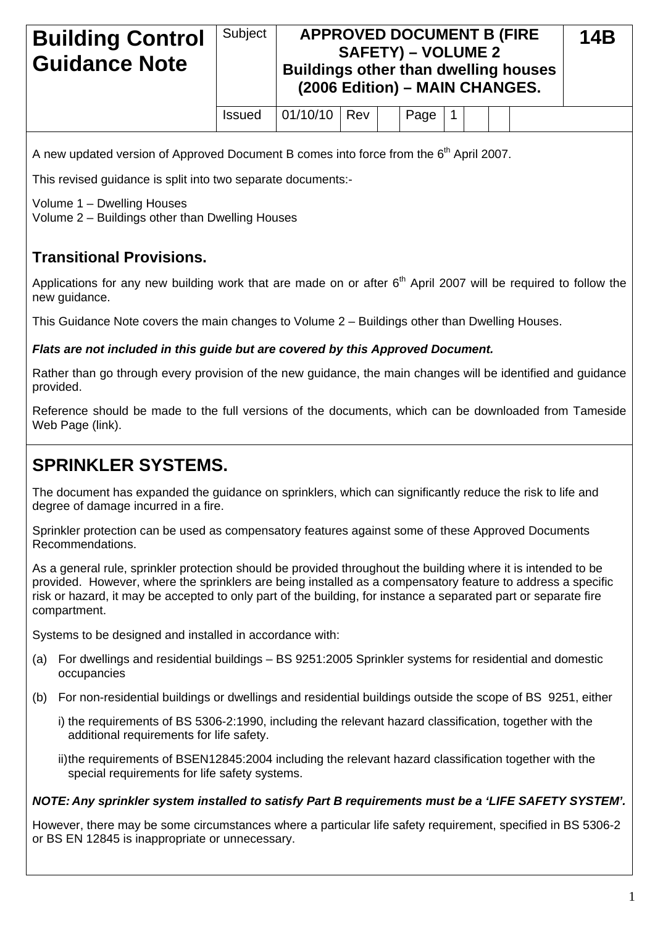#### Subject | **APPROVED DOCUMENT B (FIRE SAFETY) – VOLUME 2 Buildings other than dwelling houses (2006 Edition) – MAIN CHANGES. Building Control**  $\vert$ <sup>Subject</sup> | APPROVED DOCUMENT B (FIRE | 14B **Guidance Note**   $Is sued | 01/10/10 | Rev | | Paqe | 1$

A new updated version of Approved Document B comes into force from the 6<sup>th</sup> April 2007.

This revised guidance is split into two separate documents:-

Volume 1 – Dwelling Houses

Volume 2 – Buildings other than Dwelling Houses

### **Transitional Provisions.**

Applications for any new building work that are made on or after  $6<sup>th</sup>$  April 2007 will be required to follow the new guidance.

This Guidance Note covers the main changes to Volume 2 – Buildings other than Dwelling Houses.

#### *Flats are not included in this guide but are covered by this Approved Document.*

Rather than go through every provision of the new guidance, the main changes will be identified and guidance provided.

Reference should be made to the full versions of the documents, which can be downloaded from Tameside Web Page (link).

# **SPRINKLER SYSTEMS.**

The document has expanded the guidance on sprinklers, which can significantly reduce the risk to life and degree of damage incurred in a fire.

Sprinkler protection can be used as compensatory features against some of these Approved Documents Recommendations.

As a general rule, sprinkler protection should be provided throughout the building where it is intended to be provided. However, where the sprinklers are being installed as a compensatory feature to address a specific risk or hazard, it may be accepted to only part of the building, for instance a separated part or separate fire compartment.

Systems to be designed and installed in accordance with:

- (a) For dwellings and residential buildings BS 9251:2005 Sprinkler systems for residential and domestic occupancies
- (b) For non-residential buildings or dwellings and residential buildings outside the scope of BS 9251, either
	- i) the requirements of BS 5306-2:1990, including the relevant hazard classification, together with the additional requirements for life safety.
	- ii) the requirements of BSEN12845:2004 including the relevant hazard classification together with the special requirements for life safety systems.

#### *NOTE: Any sprinkler system installed to satisfy Part B requirements must be a 'LIFE SAFETY SYSTEM'.*

However, there may be some circumstances where a particular life safety requirement, specified in BS 5306-2 or BS EN 12845 is inappropriate or unnecessary.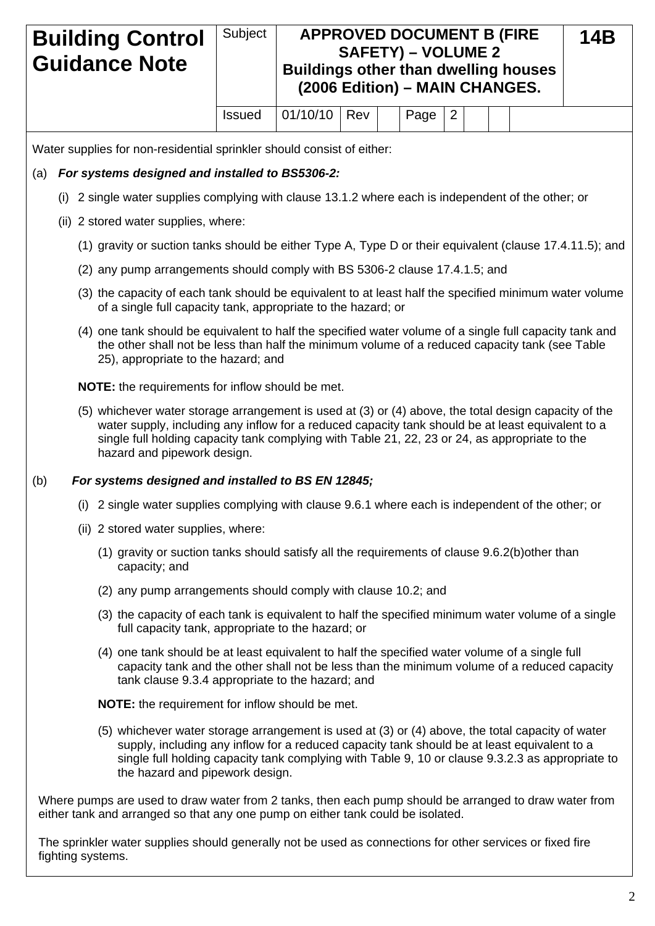| <b>Building Control</b><br><b>Guidance Note</b> | Subject       | <b>APPROVED DOCUMENT B (FIRE)</b><br><b>Buildings other than dwelling houses</b><br>(2006 Edition) - MAIN CHANGES. | <b>SAFETY) – VOLUME 2</b> |      |   |  | <b>14B</b> |
|-------------------------------------------------|---------------|--------------------------------------------------------------------------------------------------------------------|---------------------------|------|---|--|------------|
|                                                 | <b>Issued</b> | 01/10/10 Rev                                                                                                       |                           | Page | 2 |  |            |

Water supplies for non-residential sprinkler should consist of either:

#### (a) *For systems designed and installed to BS5306-2:*

- (i) 2 single water supplies complying with clause 13.1.2 where each is independent of the other; or
- (ii) 2 stored water supplies, where:
	- (1) gravity or suction tanks should be either Type A, Type D or their equivalent (clause 17.4.11.5); and
	- (2) any pump arrangements should comply with BS 5306-2 clause 17.4.1.5; and
	- (3) the capacity of each tank should be equivalent to at least half the specified minimum water volume of a single full capacity tank, appropriate to the hazard; or
	- (4) one tank should be equivalent to half the specified water volume of a single full capacity tank and the other shall not be less than half the minimum volume of a reduced capacity tank (see Table 25), appropriate to the hazard; and

**NOTE:** the requirements for inflow should be met.

(5) whichever water storage arrangement is used at (3) or (4) above, the total design capacity of the water supply, including any inflow for a reduced capacity tank should be at least equivalent to a single full holding capacity tank complying with Table 21, 22, 23 or 24, as appropriate to the hazard and pipework design.

#### (b) *For systems designed and installed to BS EN 12845;*

- (i) 2 single water supplies complying with clause 9.6.1 where each is independent of the other; or
- (ii) 2 stored water supplies, where:
	- (1) gravity or suction tanks should satisfy all the requirements of clause 9.6.2(b)other than capacity; and
	- (2) any pump arrangements should comply with clause 10.2; and
	- (3) the capacity of each tank is equivalent to half the specified minimum water volume of a single full capacity tank, appropriate to the hazard; or
	- (4) one tank should be at least equivalent to half the specified water volume of a single full capacity tank and the other shall not be less than the minimum volume of a reduced capacity tank clause 9.3.4 appropriate to the hazard; and

**NOTE:** the requirement for inflow should be met.

(5) whichever water storage arrangement is used at (3) or (4) above, the total capacity of water supply, including any inflow for a reduced capacity tank should be at least equivalent to a single full holding capacity tank complying with Table 9, 10 or clause 9.3.2.3 as appropriate to the hazard and pipework design.

Where pumps are used to draw water from 2 tanks, then each pump should be arranged to draw water from either tank and arranged so that any one pump on either tank could be isolated.

The sprinkler water supplies should generally not be used as connections for other services or fixed fire fighting systems.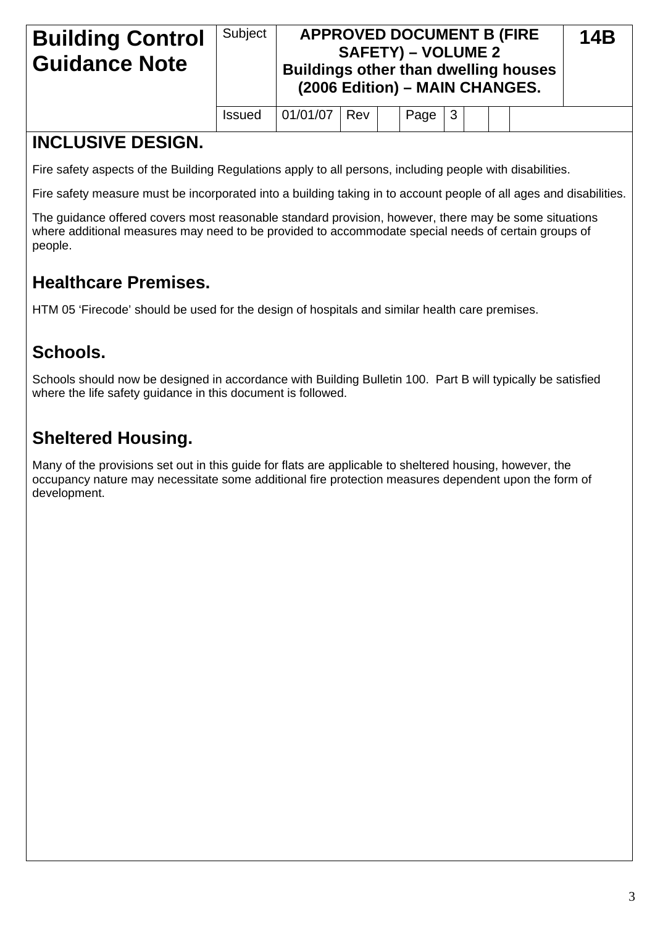| <b>Building Control</b><br><b>Guidance Note</b> | Subject       | <b>Buildings other than dwelling houses</b><br>(2006 Edition) - MAIN CHANGES. |     | <b>APPROVED DOCUMENT B (FIRE)</b><br><b>SAFETY) – VOLUME 2</b> |  |  | <b>14B</b> |  |
|-------------------------------------------------|---------------|-------------------------------------------------------------------------------|-----|----------------------------------------------------------------|--|--|------------|--|
|                                                 | <b>Issued</b> | 01/01/07                                                                      | Rev | Page $ 3 $                                                     |  |  |            |  |

# **INCLUSIVE DESIGN.**

Fire safety aspects of the Building Regulations apply to all persons, including people with disabilities.

Fire safety measure must be incorporated into a building taking in to account people of all ages and disabilities.

The guidance offered covers most reasonable standard provision, however, there may be some situations where additional measures may need to be provided to accommodate special needs of certain groups of people.

# **Healthcare Premises.**

HTM 05 'Firecode' should be used for the design of hospitals and similar health care premises.

# **Schools.**

Schools should now be designed in accordance with Building Bulletin 100. Part B will typically be satisfied where the life safety guidance in this document is followed.

# **Sheltered Housing.**

Many of the provisions set out in this guide for flats are applicable to sheltered housing, however, the occupancy nature may necessitate some additional fire protection measures dependent upon the form of development.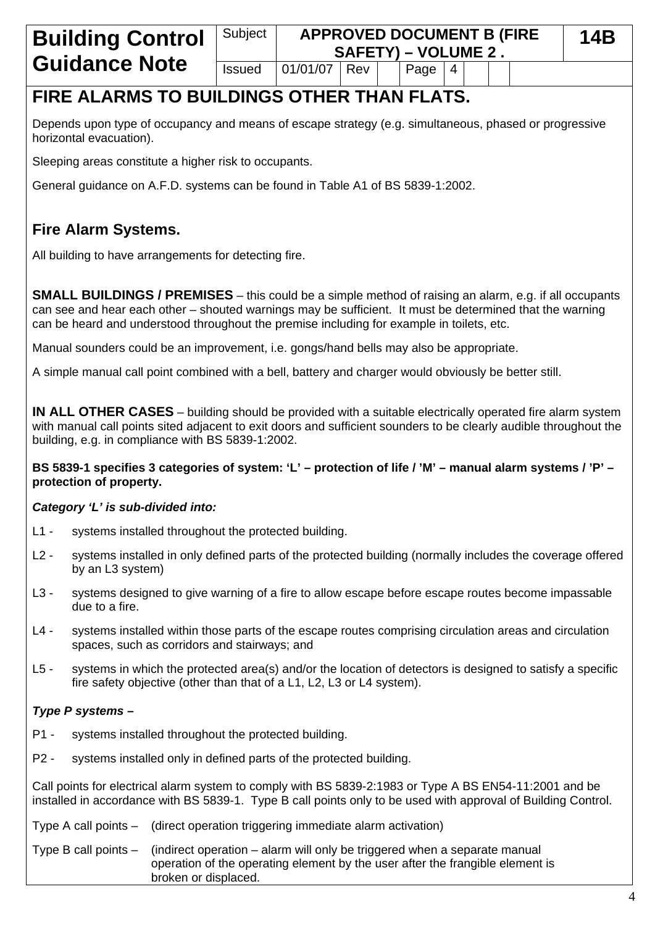# Subject **APPROVED DOCUMENT B (FIRE Building Control**  $\begin{vmatrix} \text{Subject} \\ \text{BAF} \end{vmatrix}$  APPROVED DOCUMENT B (FIRE 14B) **Guidance Note Issued 01/01/07 Rev Page 14 FIRE ALARMS TO BUILDINGS OTHER THAN FLATS.** Depends upon type of occupancy and means of escape strategy (e.g. simultaneous, phased or progressive horizontal evacuation). Sleeping areas constitute a higher risk to occupants. General guidance on A.F.D. systems can be found in Table A1 of BS 5839-1:2002. **Fire Alarm Systems.** All building to have arrangements for detecting fire. **SMALL BUILDINGS / PREMISES** – this could be a simple method of raising an alarm, e.g. if all occupants can see and hear each other – shouted warnings may be sufficient. It must be determined that the warning can be heard and understood throughout the premise including for example in toilets, etc. Manual sounders could be an improvement, i.e. gongs/hand bells may also be appropriate. A simple manual call point combined with a bell, battery and charger would obviously be better still. **IN ALL OTHER CASES** – building should be provided with a suitable electrically operated fire alarm system with manual call points sited adjacent to exit doors and sufficient sounders to be clearly audible throughout the building, e.g. in compliance with BS 5839-1:2002. **BS 5839-1 specifies 3 categories of system: 'L' – protection of life / 'M' – manual alarm systems / 'P' –**

# **protection of property.**

#### *Category 'L' is sub-divided into:*

- L1 systems installed throughout the protected building.
- L2 systems installed in only defined parts of the protected building (normally includes the coverage offered by an L3 system)
- L3 systems designed to give warning of a fire to allow escape before escape routes become impassable due to a fire.
- L4 systems installed within those parts of the escape routes comprising circulation areas and circulation spaces, such as corridors and stairways; and
- L5 systems in which the protected area(s) and/or the location of detectors is designed to satisfy a specific fire safety objective (other than that of a L1, L2, L3 or L4 system).

### *Type P systems –*

- P1 systems installed throughout the protected building.
- P2 systems installed only in defined parts of the protected building.

Call points for electrical alarm system to comply with BS 5839-2:1983 or Type A BS EN54-11:2001 and be installed in accordance with BS 5839-1. Type B call points only to be used with approval of Building Control.

- Type A call points (direct operation triggering immediate alarm activation)
- Type B call points (indirect operation alarm will only be triggered when a separate manual operation of the operating element by the user after the frangible element is broken or displaced.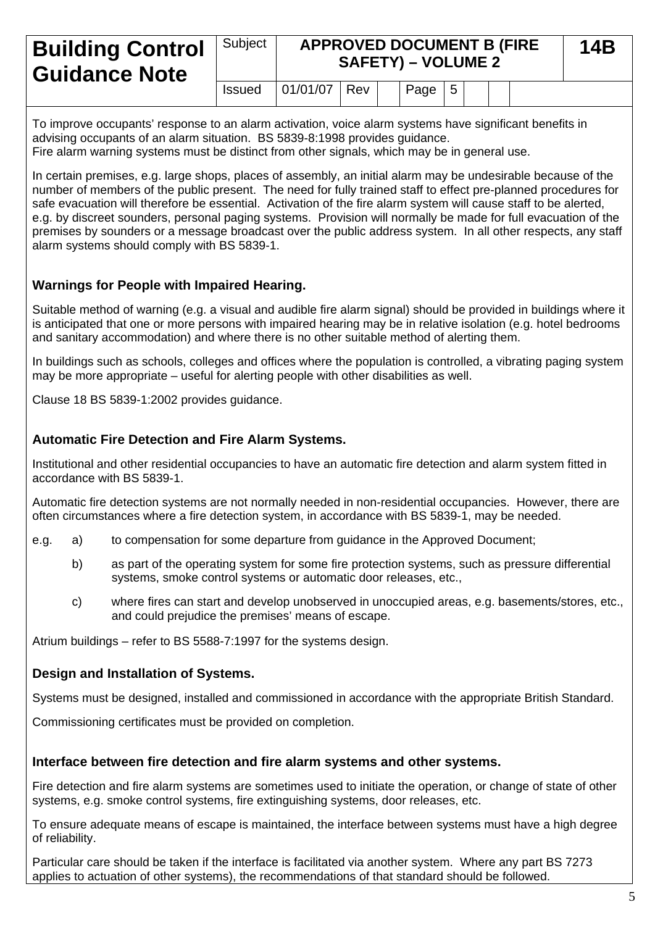| <b>Building Control</b><br><b>Guidance Note</b> | Subject       |                |  | <b>APPROVED DOCUMENT B (FIRE</b><br><b>SAFETY) – VOLUME 2</b> |  |  | <b>14B</b> |
|-------------------------------------------------|---------------|----------------|--|---------------------------------------------------------------|--|--|------------|
|                                                 | <b>Issued</b> | $01/01/07$ Rev |  | Page $ 5$                                                     |  |  |            |

To improve occupants' response to an alarm activation, voice alarm systems have significant benefits in advising occupants of an alarm situation. BS 5839-8:1998 provides guidance.

Fire alarm warning systems must be distinct from other signals, which may be in general use.

In certain premises, e.g. large shops, places of assembly, an initial alarm may be undesirable because of the number of members of the public present. The need for fully trained staff to effect pre-planned procedures for safe evacuation will therefore be essential. Activation of the fire alarm system will cause staff to be alerted, e.g. by discreet sounders, personal paging systems. Provision will normally be made for full evacuation of the premises by sounders or a message broadcast over the public address system. In all other respects, any staff alarm systems should comply with BS 5839-1.

#### **Warnings for People with Impaired Hearing.**

Suitable method of warning (e.g. a visual and audible fire alarm signal) should be provided in buildings where it is anticipated that one or more persons with impaired hearing may be in relative isolation (e.g. hotel bedrooms and sanitary accommodation) and where there is no other suitable method of alerting them.

In buildings such as schools, colleges and offices where the population is controlled, a vibrating paging system may be more appropriate – useful for alerting people with other disabilities as well.

Clause 18 BS 5839-1:2002 provides guidance.

#### **Automatic Fire Detection and Fire Alarm Systems.**

Institutional and other residential occupancies to have an automatic fire detection and alarm system fitted in accordance with BS 5839-1.

Automatic fire detection systems are not normally needed in non-residential occupancies. However, there are often circumstances where a fire detection system, in accordance with BS 5839-1, may be needed.

- e.g. a) to compensation for some departure from guidance in the Approved Document;
	- b) as part of the operating system for some fire protection systems, such as pressure differential systems, smoke control systems or automatic door releases, etc.,
	- c) where fires can start and develop unobserved in unoccupied areas, e.g. basements/stores, etc., and could prejudice the premises' means of escape.

Atrium buildings – refer to BS 5588-7:1997 for the systems design.

#### **Design and Installation of Systems.**

Systems must be designed, installed and commissioned in accordance with the appropriate British Standard.

Commissioning certificates must be provided on completion.

#### **Interface between fire detection and fire alarm systems and other systems.**

Fire detection and fire alarm systems are sometimes used to initiate the operation, or change of state of other systems, e.g. smoke control systems, fire extinguishing systems, door releases, etc.

To ensure adequate means of escape is maintained, the interface between systems must have a high degree of reliability.

Particular care should be taken if the interface is facilitated via another system. Where any part BS 7273 applies to actuation of other systems), the recommendations of that standard should be followed.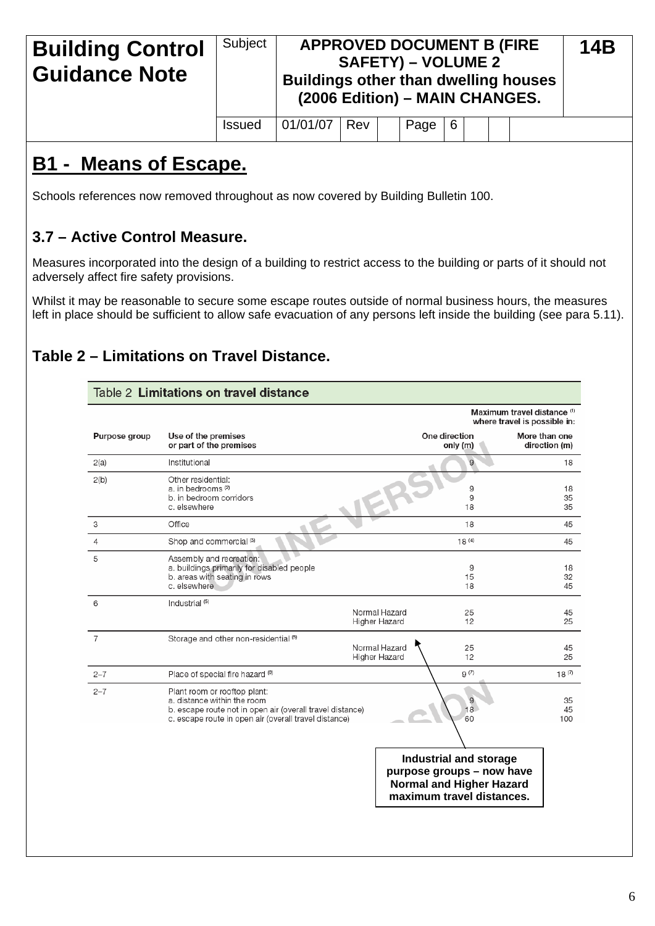| <b>Building Control</b><br><b>Guidance Note</b> | Subject       | <b>APPROVED DOCUMENT B (FIRE)</b><br><b>Buildings other than dwelling houses</b><br>(2006 Edition) - MAIN CHANGES. |     | <b>SAFETY) – VOLUME 2</b> |   |  | <b>14B</b> |
|-------------------------------------------------|---------------|--------------------------------------------------------------------------------------------------------------------|-----|---------------------------|---|--|------------|
|                                                 | <b>Issued</b> | 01/01/07                                                                                                           | Rev | Page                      | 6 |  |            |

# **B1 - Means of Escape.**

Schools references now removed throughout as now covered by Building Bulletin 100.

### **3.7 – Active Control Measure.**

Measures incorporated into the design of a building to restrict access to the building or parts of it should not adversely affect fire safety provisions.

Whilst it may be reasonable to secure some escape routes outside of normal business hours, the measures left in place should be sufficient to allow safe evacuation of any persons left inside the building (see para 5.11).

### **Table 2 – Limitations on Travel Distance.**

|                |                                                                                                                                                                                   |                                |                                                                                                                     | Maximum travel distance (1)<br>where travel is possible in: |
|----------------|-----------------------------------------------------------------------------------------------------------------------------------------------------------------------------------|--------------------------------|---------------------------------------------------------------------------------------------------------------------|-------------------------------------------------------------|
| Purpose group  | Use of the premises<br>or part of the premises                                                                                                                                    |                                | One direction<br>only (m)                                                                                           | More than one<br>direction (m)                              |
| 2(a)           | Institutional                                                                                                                                                                     |                                | $\overline{9}$                                                                                                      | 18                                                          |
| 2(b)           | Other residential:<br>a. in bedrooms <sup>(2)</sup><br>b. in bedroom corridors<br>c. elsewhere                                                                                    |                                | 9<br>9<br>18                                                                                                        | 18<br>35<br>35                                              |
| 3              | Office                                                                                                                                                                            |                                | 18                                                                                                                  | 45                                                          |
| 4              | Shop and commercial <sup>(3)</sup>                                                                                                                                                |                                | 18(4)                                                                                                               | 45                                                          |
| 5              | Assembly and recreation:<br>a. buildings primarily for disabled people<br>b. areas with seating in rows<br>c. elsewhere                                                           |                                | 9<br>15<br>18                                                                                                       | 18<br>32<br>45                                              |
| 6              | Industrial <sup>(5)</sup>                                                                                                                                                         | Normal Hazard<br>Higher Hazard | 25<br>12                                                                                                            | 45<br>25                                                    |
| $\overline{7}$ | Storage and other non-residential (5)                                                                                                                                             | Normal Hazard<br>Higher Hazard | 25<br>12                                                                                                            | 45<br>25                                                    |
| $2 - 7$        | Place of special fire hazard (6)                                                                                                                                                  |                                | 9(7)                                                                                                                | $18^{(7)}$                                                  |
| $2 - 7$        | Plant room or rooftop plant:<br>a, distance within the room<br>b. escape route not in open air (overall travel distance)<br>c. escape route in open air (overall travel distance) |                                | 9<br>18<br>60                                                                                                       | 35<br>45<br>100                                             |
|                |                                                                                                                                                                                   |                                | Industrial and storage<br>purpose groups - now have<br><b>Normal and Higher Hazard</b><br>maximum travel distances. |                                                             |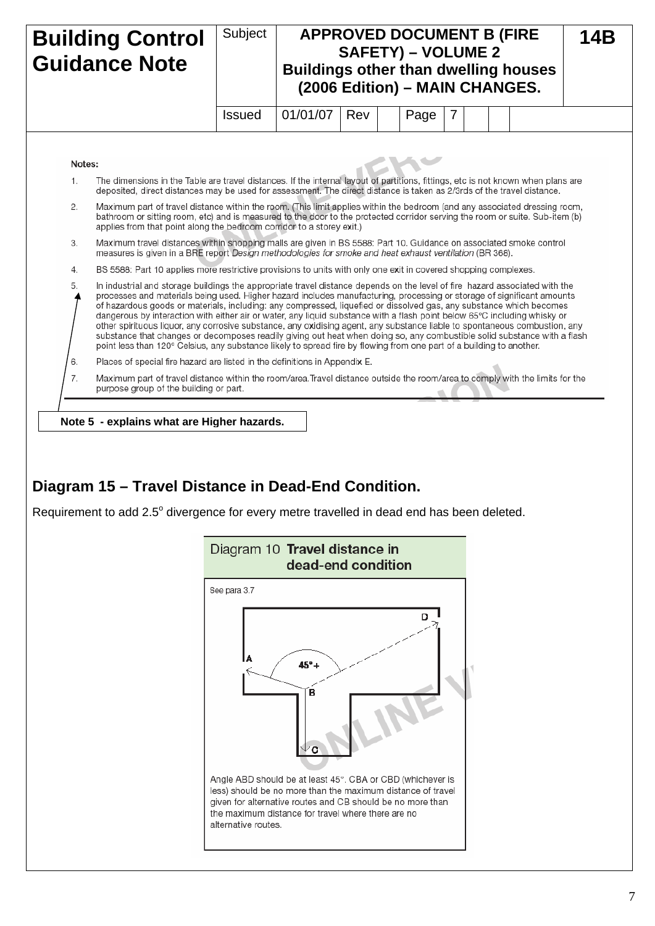|        | <b>Building Control</b><br><b>Guidance Note</b>                                                                                                                                                                                                                                                                                                                                                                                                                                                                                                                                                                                                                                                                                                                                                                                                                                             | Subject                                                                                                                                                                                                                                                     | <b>APPROVED DOCUMENT B (FIRE</b><br>14B<br><b>SAFETY) – VOLUME 2</b><br><b>Buildings other than dwelling houses</b><br>(2006 Edition) - MAIN CHANGES. |     |  |      |   |  |  |  |  |  |  |
|--------|---------------------------------------------------------------------------------------------------------------------------------------------------------------------------------------------------------------------------------------------------------------------------------------------------------------------------------------------------------------------------------------------------------------------------------------------------------------------------------------------------------------------------------------------------------------------------------------------------------------------------------------------------------------------------------------------------------------------------------------------------------------------------------------------------------------------------------------------------------------------------------------------|-------------------------------------------------------------------------------------------------------------------------------------------------------------------------------------------------------------------------------------------------------------|-------------------------------------------------------------------------------------------------------------------------------------------------------|-----|--|------|---|--|--|--|--|--|--|
|        |                                                                                                                                                                                                                                                                                                                                                                                                                                                                                                                                                                                                                                                                                                                                                                                                                                                                                             | <b>Issued</b>                                                                                                                                                                                                                                               | 01/01/07                                                                                                                                              | Rev |  | Page | 7 |  |  |  |  |  |  |
|        |                                                                                                                                                                                                                                                                                                                                                                                                                                                                                                                                                                                                                                                                                                                                                                                                                                                                                             |                                                                                                                                                                                                                                                             |                                                                                                                                                       |     |  |      |   |  |  |  |  |  |  |
| Notes: |                                                                                                                                                                                                                                                                                                                                                                                                                                                                                                                                                                                                                                                                                                                                                                                                                                                                                             |                                                                                                                                                                                                                                                             |                                                                                                                                                       |     |  |      |   |  |  |  |  |  |  |
| 1.     |                                                                                                                                                                                                                                                                                                                                                                                                                                                                                                                                                                                                                                                                                                                                                                                                                                                                                             | The dimensions in the Table are travel distances. If the internal layout of partitions, fittings, etc is not known when plans are<br>deposited, direct distances may be used for assessment. The direct distance is taken as 2/3rds of the travel distance. |                                                                                                                                                       |     |  |      |   |  |  |  |  |  |  |
| 2.     | Maximum part of travel distance within the room. (This limit applies within the bedroom (and any associated dressing room,<br>bathroom or sitting room, etc) and is measured to the door to the protected corridor serving the room or suite. Sub-item (b)<br>applies from that point along the bedroom corridor to a storey exit.)                                                                                                                                                                                                                                                                                                                                                                                                                                                                                                                                                         |                                                                                                                                                                                                                                                             |                                                                                                                                                       |     |  |      |   |  |  |  |  |  |  |
| 3.     | Maximum travel distances within shopping malls are given in BS 5588: Part 10. Guidance on associated smoke control<br>measures is given in a BRE report Design methodologies for smoke and heat exhaust ventilation (BR 368).                                                                                                                                                                                                                                                                                                                                                                                                                                                                                                                                                                                                                                                               |                                                                                                                                                                                                                                                             |                                                                                                                                                       |     |  |      |   |  |  |  |  |  |  |
| 4.     | BS 5588: Part 10 applies more restrictive provisions to units with only one exit in covered shopping complexes.                                                                                                                                                                                                                                                                                                                                                                                                                                                                                                                                                                                                                                                                                                                                                                             |                                                                                                                                                                                                                                                             |                                                                                                                                                       |     |  |      |   |  |  |  |  |  |  |
| 5.     | In industrial and storage buildings the appropriate travel distance depends on the level of fire hazard associated with the<br>processes and materials being used. Higher hazard includes manufacturing, processing or storage of significant amounts<br>of hazardous goods or materials, including: any compressed, liquefied or dissolved gas, any substance which becomes<br>dangerous by interaction with either air or water, any liquid substance with a flash point below 65°C including whisky or<br>other spirituous liquor, any corrosive substance, any oxidising agent, any substance liable to spontaneous combustion, any<br>substance that changes or decomposes readily giving out heat when doing so, any combustible solid substance with a flash<br>point less than 120° Celsius, any substance likely to spread fire by flowing from one part of a building to another. |                                                                                                                                                                                                                                                             |                                                                                                                                                       |     |  |      |   |  |  |  |  |  |  |
| 6.     |                                                                                                                                                                                                                                                                                                                                                                                                                                                                                                                                                                                                                                                                                                                                                                                                                                                                                             | Places of special fire hazard are listed in the definitions in Appendix E.                                                                                                                                                                                  |                                                                                                                                                       |     |  |      |   |  |  |  |  |  |  |
| 7.     | purpose group of the building or part.                                                                                                                                                                                                                                                                                                                                                                                                                                                                                                                                                                                                                                                                                                                                                                                                                                                      | Maximum part of travel distance within the room/area. Travel distance outside the room/area to comply with the limits for the                                                                                                                               |                                                                                                                                                       |     |  |      |   |  |  |  |  |  |  |
|        | Note 5 - explains what are Higher hazards.                                                                                                                                                                                                                                                                                                                                                                                                                                                                                                                                                                                                                                                                                                                                                                                                                                                  |                                                                                                                                                                                                                                                             |                                                                                                                                                       |     |  |      |   |  |  |  |  |  |  |

# **Diagram 15 – Travel Distance in Dead-End Condition.**

Requirement to add 2.5° divergence for every metre travelled in dead end has been deleted.

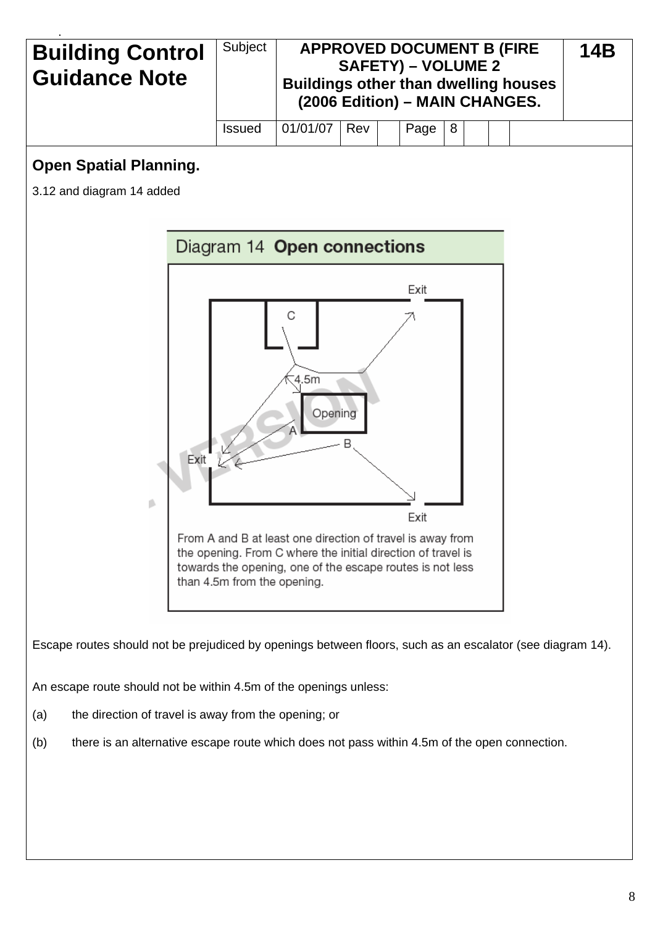| <b>Building Control</b><br><b>Guidance Note</b> | Subject       | <b>Buildings other than dwelling houses</b> |       | <b>APPROVED DOCUMENT B (FIRE)</b><br><b>SAFETY) – VOLUME 2</b><br>(2006 Edition) - MAIN CHANGES. |   |  | <b>14B</b> |  |
|-------------------------------------------------|---------------|---------------------------------------------|-------|--------------------------------------------------------------------------------------------------|---|--|------------|--|
|                                                 | <b>Issued</b> | 01/01/07                                    | l Rev | Page                                                                                             | 8 |  |            |  |

# **Open Spatial Planning.**

3.12 and diagram 14 added



Escape routes should not be prejudiced by openings between floors, such as an escalator (see diagram 14).

An escape route should not be within 4.5m of the openings unless:

- (a) the direction of travel is away from the opening; or
- (b) there is an alternative escape route which does not pass within 4.5m of the open connection.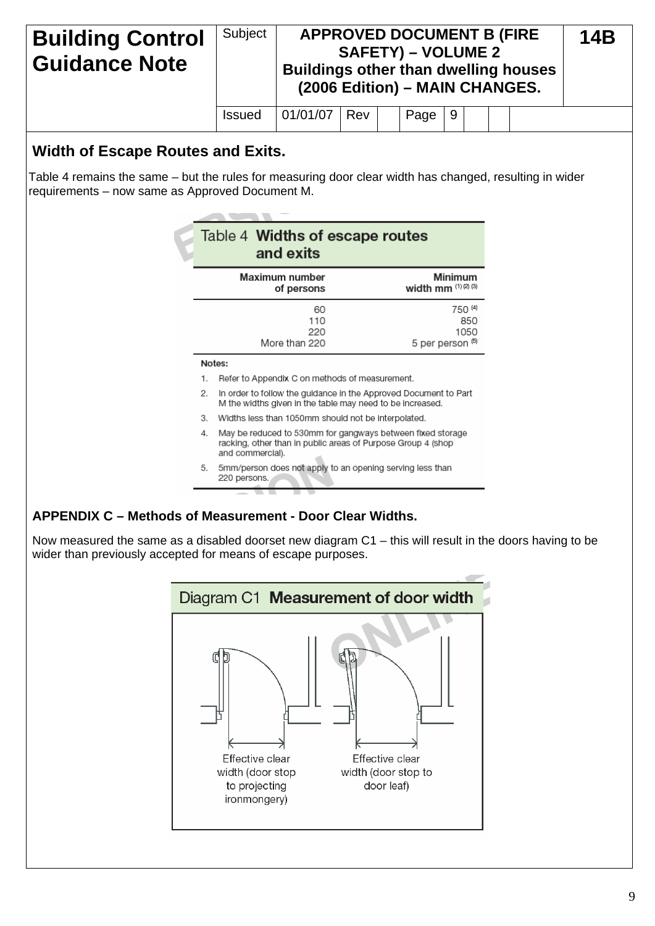| <b>Building Control</b><br><b>Guidance Note</b> | Subject       |          | <b>APPROVED DOCUMENT B (FIRE)</b><br><b>SAFETY) – VOLUME 2</b><br><b>Buildings other than dwelling houses</b><br>(2006 Edition) - MAIN CHANGES. |      |     |  |  |  |  |  |  |  |  |
|-------------------------------------------------|---------------|----------|-------------------------------------------------------------------------------------------------------------------------------------------------|------|-----|--|--|--|--|--|--|--|--|
|                                                 | <b>Issued</b> | 01/01/07 | Rev                                                                                                                                             | Page | - 9 |  |  |  |  |  |  |  |  |
|                                                 |               |          |                                                                                                                                                 |      |     |  |  |  |  |  |  |  |  |

### **Width of Escape Routes and Exits.**

Table 4 remains the same – but the rules for measuring door clear width has changed, resulting in wider requirements – now same as Approved Document M.

|    | Table 4 Widths of escape routes<br>and exits                                                                                                   |                                            |  |  |  |  |  |  |
|----|------------------------------------------------------------------------------------------------------------------------------------------------|--------------------------------------------|--|--|--|--|--|--|
|    | Maximum number<br>of persons                                                                                                                   | Minimum<br>width mm $(1)$ $(2)$ $(3)$      |  |  |  |  |  |  |
|    | 60<br>110<br>220<br>More than 220                                                                                                              | 750 (4)<br>850<br>1050<br>5 per person (5) |  |  |  |  |  |  |
|    | Notes:                                                                                                                                         |                                            |  |  |  |  |  |  |
| 1. | Refer to Appendix C on methods of measurement.                                                                                                 |                                            |  |  |  |  |  |  |
| 2. | In order to follow the guidance in the Approved Document to Part<br>M the widths given in the table may need to be increased.                  |                                            |  |  |  |  |  |  |
| З. | Widths less than 1050mm should not be interpolated.                                                                                            |                                            |  |  |  |  |  |  |
| 4. | May be reduced to 530mm for gangways between fixed storage<br>racking, other than in public areas of Purpose Group 4 (shop<br>and commercial). |                                            |  |  |  |  |  |  |

5mm/person does not apply to an opening serving less than 5. 220 persons.

#### **APPENDIX C – Methods of Measurement - Door Clear Widths.**

Now measured the same as a disabled doorset new diagram C1 – this will result in the doors having to be wider than previously accepted for means of escape purposes.

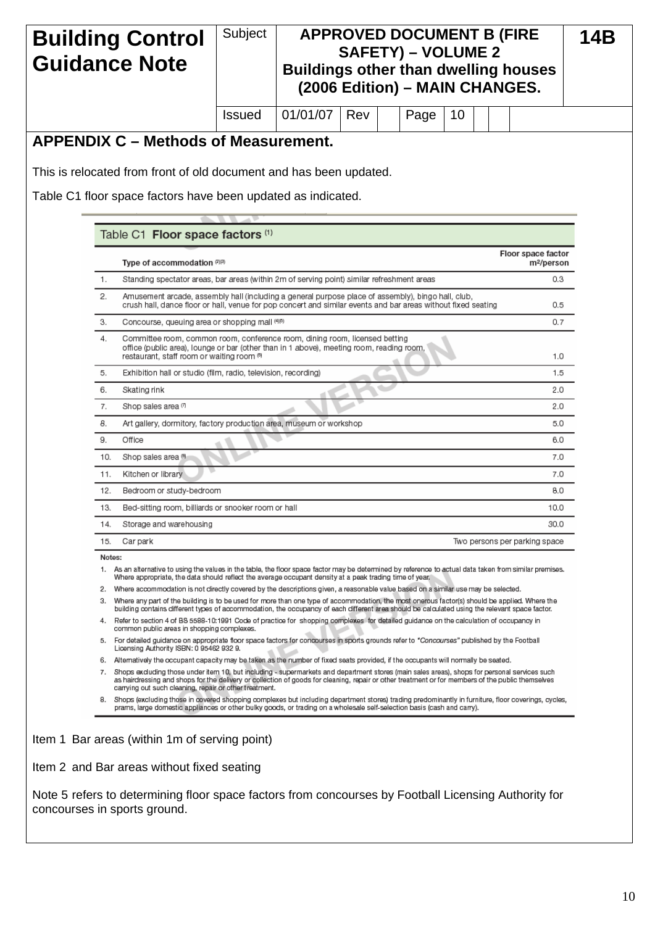|        | <b>Building Control</b><br><b>Guidance Note</b>                                                                                                                                                                                                                                                 | Subject                                                                                                                                           | <b>Buildings other than dwelling houses</b> |     |  | <b>APPROVED DOCUMENT B (FIRE</b><br><b>SAFETY) - VOLUME 2</b><br>(2006 Edition) - MAIN CHANGES. |    |  |  |                               |                        | 14B |  |  |
|--------|-------------------------------------------------------------------------------------------------------------------------------------------------------------------------------------------------------------------------------------------------------------------------------------------------|---------------------------------------------------------------------------------------------------------------------------------------------------|---------------------------------------------|-----|--|-------------------------------------------------------------------------------------------------|----|--|--|-------------------------------|------------------------|-----|--|--|
|        |                                                                                                                                                                                                                                                                                                 | <b>Issued</b>                                                                                                                                     | 01/01/07                                    | Rev |  | Page                                                                                            | 10 |  |  |                               |                        |     |  |  |
|        | <b>APPENDIX C - Methods of Measurement.</b>                                                                                                                                                                                                                                                     |                                                                                                                                                   |                                             |     |  |                                                                                                 |    |  |  |                               |                        |     |  |  |
|        | This is relocated from front of old document and has been updated.                                                                                                                                                                                                                              |                                                                                                                                                   |                                             |     |  |                                                                                                 |    |  |  |                               |                        |     |  |  |
|        | Table C1 floor space factors have been updated as indicated.                                                                                                                                                                                                                                    |                                                                                                                                                   |                                             |     |  |                                                                                                 |    |  |  |                               |                        |     |  |  |
|        |                                                                                                                                                                                                                                                                                                 |                                                                                                                                                   |                                             |     |  |                                                                                                 |    |  |  |                               |                        |     |  |  |
|        | Table C1 Floor space factors (1)                                                                                                                                                                                                                                                                |                                                                                                                                                   |                                             |     |  |                                                                                                 |    |  |  |                               |                        |     |  |  |
|        |                                                                                                                                                                                                                                                                                                 |                                                                                                                                                   |                                             |     |  |                                                                                                 |    |  |  | Floor space factor            |                        |     |  |  |
| 1.     | Type of accommodation @@                                                                                                                                                                                                                                                                        |                                                                                                                                                   |                                             |     |  |                                                                                                 |    |  |  |                               | m <sup>2</sup> /person |     |  |  |
| 2.     | 0.3<br>Standing spectator areas, bar areas (within 2m of serving point) similar refreshment areas<br>Amusement arcade, assembly hall (including a general purpose place of assembly), bingo hall, club,                                                                                         |                                                                                                                                                   |                                             |     |  |                                                                                                 |    |  |  |                               |                        |     |  |  |
|        | crush hall, dance floor or hall, venue for pop concert and similar events and bar areas without fixed seating<br>0.5                                                                                                                                                                            |                                                                                                                                                   |                                             |     |  |                                                                                                 |    |  |  |                               |                        |     |  |  |
| З.     |                                                                                                                                                                                                                                                                                                 | Concourse, queuing area or shopping mall (4) <sup>(9)</sup><br>0.7<br>Committee room, common room, conference room, dining room, licensed betting |                                             |     |  |                                                                                                 |    |  |  |                               |                        |     |  |  |
| 4.     | office (public area), lounge or bar (other than in 1 above), meeting room, reading room,<br>restaurant, staff room or waiting room ®                                                                                                                                                            |                                                                                                                                                   |                                             |     |  |                                                                                                 |    |  |  |                               | 1.0                    |     |  |  |
| 5.     | Exhibition hall or studio (film, radio, television, recording)                                                                                                                                                                                                                                  |                                                                                                                                                   |                                             |     |  |                                                                                                 |    |  |  |                               | 1.5                    |     |  |  |
| 6.     | Skating rink                                                                                                                                                                                                                                                                                    |                                                                                                                                                   |                                             |     |  |                                                                                                 |    |  |  |                               | 2.0                    |     |  |  |
| 7.     | Shop sales area (7)                                                                                                                                                                                                                                                                             |                                                                                                                                                   |                                             |     |  |                                                                                                 |    |  |  |                               | 2.0                    |     |  |  |
| 8.     | Art gallery, dormitory, factory production area, museum or workshop                                                                                                                                                                                                                             |                                                                                                                                                   |                                             |     |  |                                                                                                 |    |  |  |                               | 5.0                    |     |  |  |
| 9.     | Office                                                                                                                                                                                                                                                                                          |                                                                                                                                                   |                                             |     |  |                                                                                                 |    |  |  |                               | 6.0                    |     |  |  |
| 10.    | Shop sales area ®                                                                                                                                                                                                                                                                               |                                                                                                                                                   |                                             |     |  |                                                                                                 |    |  |  |                               | 7.0                    |     |  |  |
| 11.    | Kitchen or library                                                                                                                                                                                                                                                                              |                                                                                                                                                   |                                             |     |  |                                                                                                 |    |  |  |                               | 7.0                    |     |  |  |
| 12.    | Bedroom or study-bedroom                                                                                                                                                                                                                                                                        |                                                                                                                                                   |                                             |     |  |                                                                                                 |    |  |  |                               | 8.0                    |     |  |  |
| 13.    | Bed-sitting room, billiards or snooker room or hall                                                                                                                                                                                                                                             |                                                                                                                                                   |                                             |     |  |                                                                                                 |    |  |  |                               | 10.0                   |     |  |  |
| 14.    | Storage and warehousing                                                                                                                                                                                                                                                                         |                                                                                                                                                   |                                             |     |  |                                                                                                 |    |  |  |                               | 30.0                   |     |  |  |
| 15.    | Car park                                                                                                                                                                                                                                                                                        |                                                                                                                                                   |                                             |     |  |                                                                                                 |    |  |  | Two persons per parking space |                        |     |  |  |
| Notes: |                                                                                                                                                                                                                                                                                                 |                                                                                                                                                   |                                             |     |  |                                                                                                 |    |  |  |                               |                        |     |  |  |
|        | 1. As an alternative to using the values in the table, the floor space factor may be determined by reference to actual data taken from similar premises.<br>Where appropriate, the data should reflect the average occupant density at a peak trading time of year.                             |                                                                                                                                                   |                                             |     |  |                                                                                                 |    |  |  |                               |                        |     |  |  |
|        | 2. Where accommodation is not directly covered by the descriptions given, a reasonable value based on a similar use may be selected.                                                                                                                                                            |                                                                                                                                                   |                                             |     |  |                                                                                                 |    |  |  |                               |                        |     |  |  |
| З.     | Where any part of the building is to be used for more than one type of accommodation, the most onerous factor(s) should be applied. Where the<br>building contains different types of accommodation, the occupancy of each different area should be calculated using the relevant space factor. |                                                                                                                                                   |                                             |     |  |                                                                                                 |    |  |  |                               |                        |     |  |  |
|        | 4. Refer to section 4 of BS 5588-10:1991 Code of practice for shopping complexes for detailed guidance on the calculation of occupancy in<br>common public areas in shopping complexes.                                                                                                         |                                                                                                                                                   |                                             |     |  |                                                                                                 |    |  |  |                               |                        |     |  |  |
|        | 5. For detailed guidance on appropriate floor space factors for concourses in sports grounds refer to "Concourses" published by the Football<br>Licensing Authority ISBN: 0 95462 932 9.                                                                                                        |                                                                                                                                                   |                                             |     |  |                                                                                                 |    |  |  |                               |                        |     |  |  |
|        | 6. Alternatively the occupant capacity may be taken as the number of fixed seats provided, if the occupants will normally be seated.<br>7. Shops excluding those under item 10, but including - supermarkets and department stores (main sales areas), shops for personal services such         |                                                                                                                                                   |                                             |     |  |                                                                                                 |    |  |  |                               |                        |     |  |  |
|        | as hairdressing and shops for the delivery or collection of goods for cleaning, repair or other treatment or for members of the public themselves<br>carrying out such cleaning, repair or other treatment.                                                                                     |                                                                                                                                                   |                                             |     |  |                                                                                                 |    |  |  |                               |                        |     |  |  |
|        | 8. Shops (excluding those in covered shopping complexes but including department stores) trading predominantly in furniture, floor coverings, cycles,<br>prams, large domestic appliances or other bulky goods, or trading on a wholesale self-selection basis (cash and carry).                |                                                                                                                                                   |                                             |     |  |                                                                                                 |    |  |  |                               |                        |     |  |  |

#### Item 1 Bar areas (within 1m of serving point)

#### Item 2 and Bar areas without fixed seating

Note 5 refers to determining floor space factors from concourses by Football Licensing Authority for concourses in sports ground.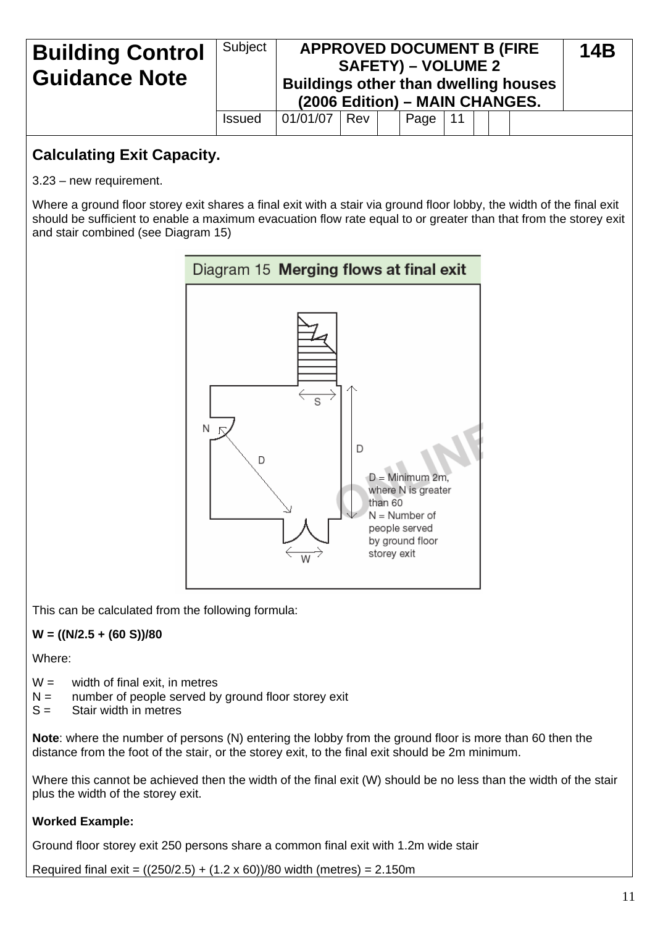| <b>Building Control</b><br><b>Guidance Note</b> | Subject       |          | <b>APPROVED DOCUMENT B (FIRE</b><br><b>SAFETY) – VOLUME 2</b><br>(2006 Edition) - MAIN CHANGES. |      |    | <b>Buildings other than dwelling houses</b> | <b>14B</b> |
|-------------------------------------------------|---------------|----------|-------------------------------------------------------------------------------------------------|------|----|---------------------------------------------|------------|
|                                                 | <b>Issued</b> | 01/01/07 | l Rev                                                                                           | Page | 11 |                                             |            |

### **Calculating Exit Capacity.**

3.23 – new requirement.

Where a ground floor storey exit shares a final exit with a stair via ground floor lobby, the width of the final exit should be sufficient to enable a maximum evacuation flow rate equal to or greater than that from the storey exit and stair combined (see Diagram 15)



This can be calculated from the following formula:

#### **W = ((N/2.5 + (60 S))/80**

Where:

- $W =$  width of final exit, in metres
- $N =$  number of people served by ground floor storey exit
- $S =$  Stair width in metres

**Note**: where the number of persons (N) entering the lobby from the ground floor is more than 60 then the distance from the foot of the stair, or the storey exit, to the final exit should be 2m minimum.

Where this cannot be achieved then the width of the final exit (W) should be no less than the width of the stair plus the width of the storey exit.

#### **Worked Example:**

Ground floor storey exit 250 persons share a common final exit with 1.2m wide stair

Required final exit =  $((250/2.5) + (1.2 \times 60))/80$  width (metres) = 2.150m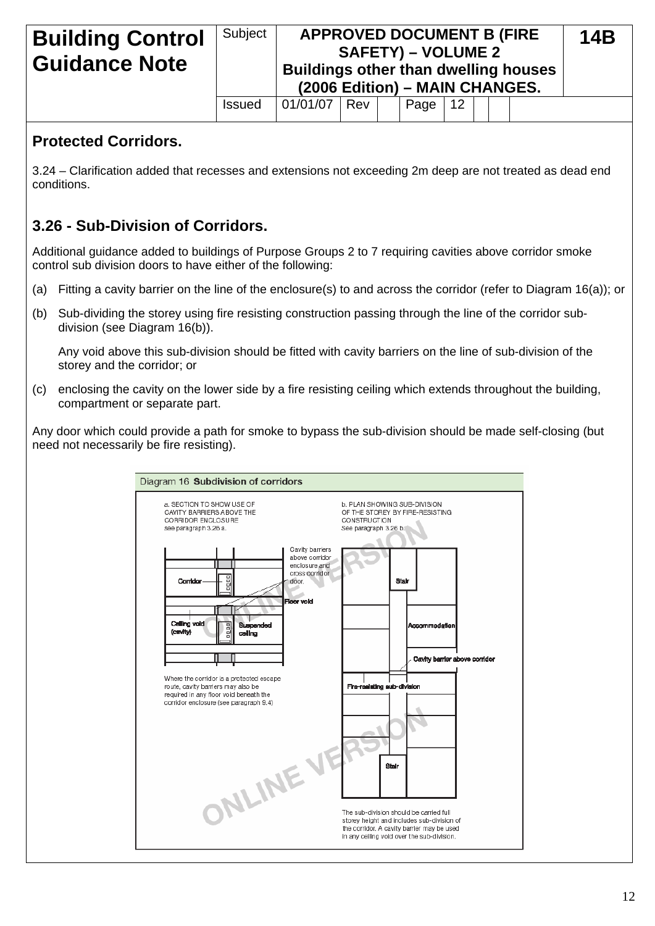| <b>Building Control</b><br><b>Guidance Note</b> | Subject | <b>Buildings other than dwelling houses</b> |       | <b>APPROVED DOCUMENT B (FIRE</b><br><b>SAFETY) – VOLUME 2</b><br>(2006 Edition) - MAIN CHANGES. |                 |  | <b>14B</b> |  |
|-------------------------------------------------|---------|---------------------------------------------|-------|-------------------------------------------------------------------------------------------------|-----------------|--|------------|--|
|                                                 | Issued  | 01/01/07                                    | ∣ Rev | Page                                                                                            | 12 <sup>°</sup> |  |            |  |

### **Protected Corridors.**

3.24 – Clarification added that recesses and extensions not exceeding 2m deep are not treated as dead end conditions.

# **3.26 - Sub-Division of Corridors.**

Additional guidance added to buildings of Purpose Groups 2 to 7 requiring cavities above corridor smoke control sub division doors to have either of the following:

- (a) Fitting a cavity barrier on the line of the enclosure(s) to and across the corridor (refer to Diagram 16(a)); or
- (b) Sub-dividing the storey using fire resisting construction passing through the line of the corridor subdivision (see Diagram 16(b)).

 Any void above this sub-division should be fitted with cavity barriers on the line of sub-division of the storey and the corridor; or

(c) enclosing the cavity on the lower side by a fire resisting ceiling which extends throughout the building, compartment or separate part.

Any door which could provide a path for smoke to bypass the sub-division should be made self-closing (but need not necessarily be fire resisting).

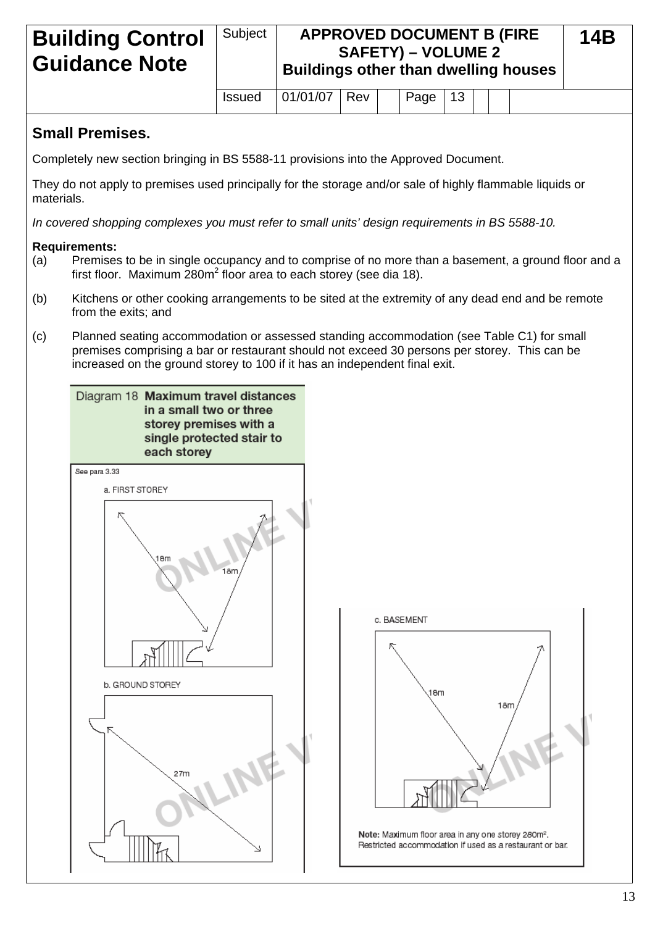# $Is sued \, | \, 01/01/07 \, | \, Rev \, | \, 1$  Page | 13

### **Small Premises.**

Completely new section bringing in BS 5588-11 provisions into the Approved Document.

They do not apply to premises used principally for the storage and/or sale of highly flammable liquids or materials.

*In covered shopping complexes you must refer to small units' design requirements in BS 5588-10.* 

#### **Requirements:**

- (a) Premises to be in single occupancy and to comprise of no more than a basement, a ground floor and a first floor. Maximum 280m<sup>2</sup> floor area to each storey (see dia 18).
- (b) Kitchens or other cooking arrangements to be sited at the extremity of any dead end and be remote from the exits; and
- (c) Planned seating accommodation or assessed standing accommodation (see Table C1) for small premises comprising a bar or restaurant should not exceed 30 persons per storey. This can be increased on the ground storey to 100 if it has an independent final exit.



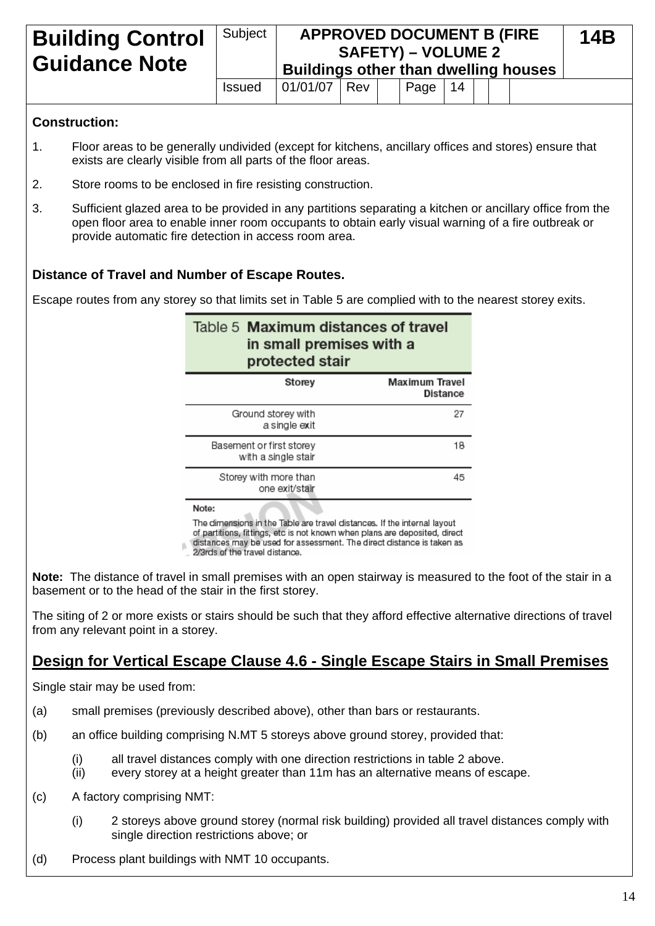| <b>Building Control</b><br><b>Guidance Note</b> | Subject       | <b>Buildings other than dwelling houses</b> | <b>APPROVED DOCUMENT B (FIRE</b><br><b>SAFETY) – VOLUME 2</b> |    |  | <b>14B</b> |
|-------------------------------------------------|---------------|---------------------------------------------|---------------------------------------------------------------|----|--|------------|
|                                                 | <b>Issued</b> | 01/01/07   Rev                              | Page                                                          | 14 |  |            |

#### **Construction:**

- 1. Floor areas to be generally undivided (except for kitchens, ancillary offices and stores) ensure that exists are clearly visible from all parts of the floor areas.
- 2. Store rooms to be enclosed in fire resisting construction.
- 3. Sufficient glazed area to be provided in any partitions separating a kitchen or ancillary office from the open floor area to enable inner room occupants to obtain early visual warning of a fire outbreak or provide automatic fire detection in access room area.

#### **Distance of Travel and Number of Escape Routes.**

Escape routes from any storey so that limits set in Table 5 are complied with to the nearest storey exits.

| Table 5 Maximum distances of travel<br>in small premises with a<br>protected stair |                |
|------------------------------------------------------------------------------------|----------------|
| Storey                                                                             | Maximum Travel |

| <b>Distance</b> | $-$                                             |
|-----------------|-------------------------------------------------|
| 27              | Ground storey with<br>a single exit             |
| 18              | Basement or first storey<br>with a single stair |
| 45              | Storey with more than<br>one exit/stair         |

Note:

The dimensions in the Table are travel distances. If the internal layout of partitions, fittings, etc is not known when plans are deposited, direct distances may be used for assessment. The direct distance is taken as

2/3rds of the travel distance.

**Note:** The distance of travel in small premises with an open stairway is measured to the foot of the stair in a basement or to the head of the stair in the first storey.

The siting of 2 or more exists or stairs should be such that they afford effective alternative directions of travel from any relevant point in a storey.

## **Design for Vertical Escape Clause 4.6 - Single Escape Stairs in Small Premises**

Single stair may be used from:

- (a) small premises (previously described above), other than bars or restaurants.
- (b) an office building comprising N.MT 5 storeys above ground storey, provided that:
	- (i) all travel distances comply with one direction restrictions in table 2 above.
	- (ii) every storey at a height greater than 11m has an alternative means of escape.
- (c) A factory comprising NMT:
	- (i) 2 storeys above ground storey (normal risk building) provided all travel distances comply with single direction restrictions above; or
- (d) Process plant buildings with NMT 10 occupants.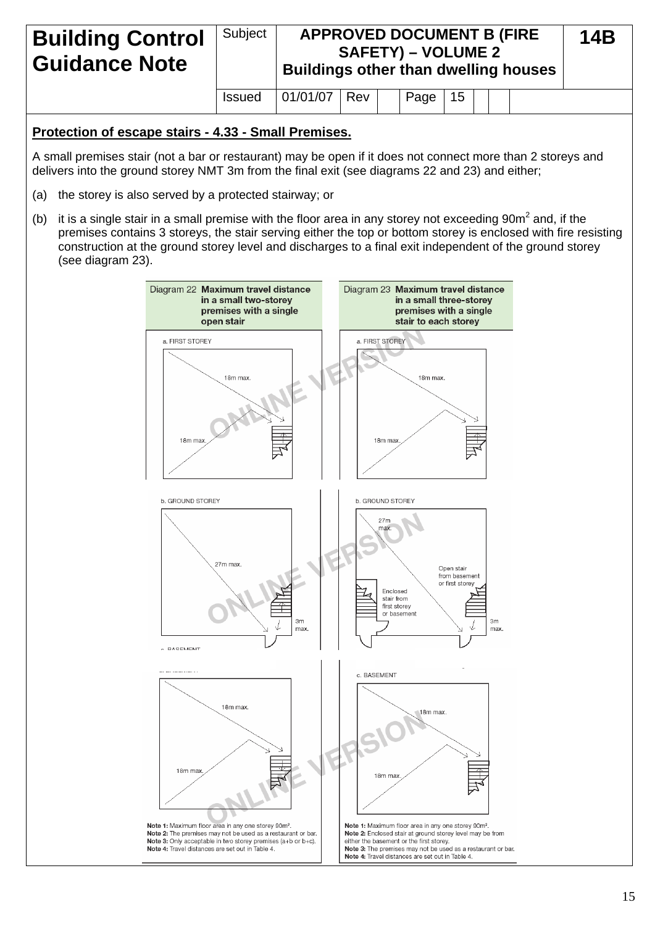| Subject<br><b>Building Control</b><br><b>Guidance Note</b> |               | <b>APPROVED DOCUMENT B (FIRE</b><br><b>Buildings other than dwelling houses</b> |     | <b>SAFETY) – VOLUME 2</b> |    |  | <b>14B</b> |  |
|------------------------------------------------------------|---------------|---------------------------------------------------------------------------------|-----|---------------------------|----|--|------------|--|
|                                                            | <b>Issued</b> | 01/01/07                                                                        | Rev | Page                      | 15 |  |            |  |

#### **Protection of escape stairs - 4.33 - Small Premises.**

A small premises stair (not a bar or restaurant) may be open if it does not connect more than 2 storeys and delivers into the ground storey NMT 3m from the final exit (see diagrams 22 and 23) and either;

- (a) the storey is also served by a protected stairway; or
- (b) it is a single stair in a small premise with the floor area in any storey not exceeding  $90m^2$  and, if the premises contains 3 storeys, the stair serving either the top or bottom storey is enclosed with fire resisting construction at the ground storey level and discharges to a final exit independent of the ground storey (see diagram 23).

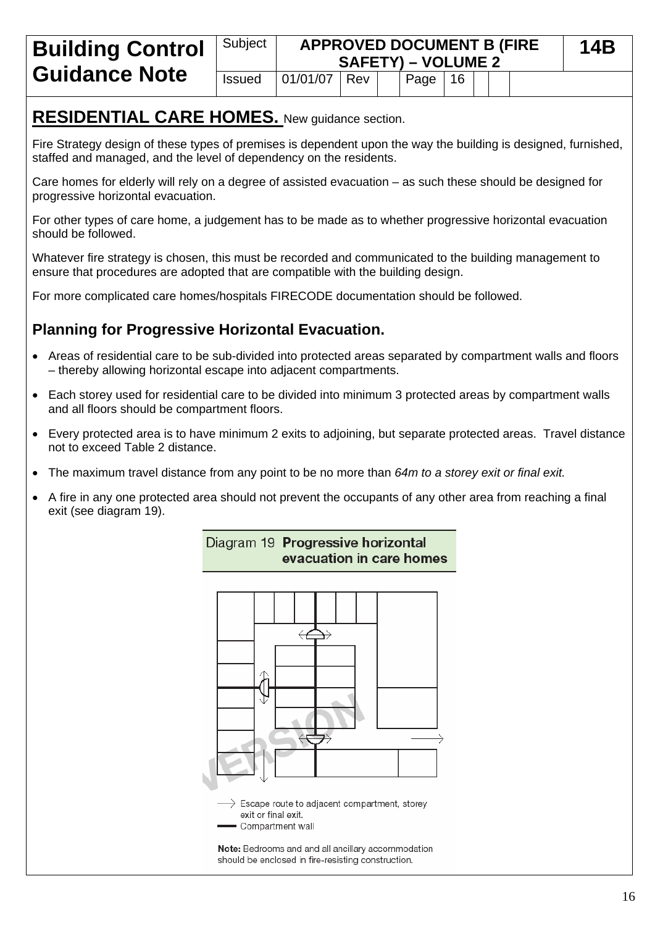| <b>Building Control</b> | Subject       | <b>APPROVED DOCUMENT B (FIRE</b> |     | <b>SAFETY) – VOLUME 2</b> |    |  | <b>14B</b> |
|-------------------------|---------------|----------------------------------|-----|---------------------------|----|--|------------|
| <b>Guidance Note</b>    | <b>Issued</b> | 01/01/07                         | Rev | Page $ $                  | 16 |  |            |

# **RESIDENTIAL CARE HOMES.** New guidance section.

Fire Strategy design of these types of premises is dependent upon the way the building is designed, furnished, staffed and managed, and the level of dependency on the residents.

Care homes for elderly will rely on a degree of assisted evacuation – as such these should be designed for progressive horizontal evacuation.

For other types of care home, a judgement has to be made as to whether progressive horizontal evacuation should be followed.

Whatever fire strategy is chosen, this must be recorded and communicated to the building management to ensure that procedures are adopted that are compatible with the building design.

For more complicated care homes/hospitals FIRECODE documentation should be followed.

### **Planning for Progressive Horizontal Evacuation.**

- Areas of residential care to be sub-divided into protected areas separated by compartment walls and floors – thereby allowing horizontal escape into adjacent compartments.
- Each storey used for residential care to be divided into minimum 3 protected areas by compartment walls and all floors should be compartment floors.
- Every protected area is to have minimum 2 exits to adjoining, but separate protected areas. Travel distance not to exceed Table 2 distance.
- The maximum travel distance from any point to be no more than *64m to a storey exit or final exit.*
- A fire in any one protected area should not prevent the occupants of any other area from reaching a final exit (see diagram 19).

Diagram 19 Progressive horizontal

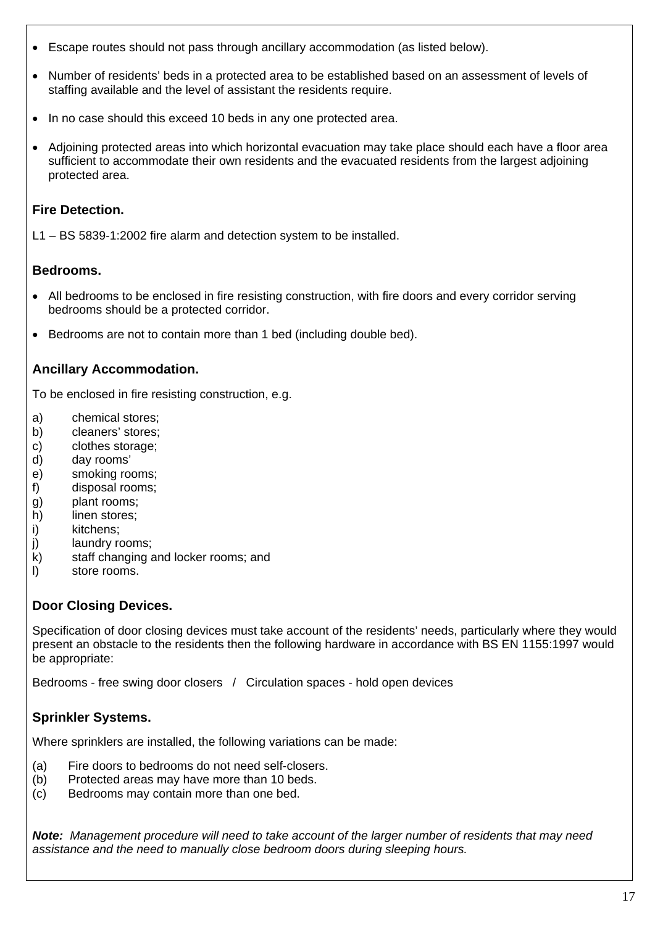- Escape routes should not pass through ancillary accommodation (as listed below).
- Number of residents' beds in a protected area to be established based on an assessment of levels of staffing available and the level of assistant the residents require.
- In no case should this exceed 10 beds in any one protected area.
- Adjoining protected areas into which horizontal evacuation may take place should each have a floor area sufficient to accommodate their own residents and the evacuated residents from the largest adjoining protected area.

#### **Fire Detection.**

L1 – BS 5839-1:2002 fire alarm and detection system to be installed.

#### **Bedrooms.**

- All bedrooms to be enclosed in fire resisting construction, with fire doors and every corridor serving bedrooms should be a protected corridor.
- Bedrooms are not to contain more than 1 bed (including double bed).

#### **Ancillary Accommodation.**

To be enclosed in fire resisting construction, e.g.

- a) chemical stores;
- b) cleaners' stores;
- c) clothes storage;
- d) day rooms'
- e) smoking rooms;
- f) disposal rooms;
- g) plant rooms;
- h) linen stores;
- i) kitchens;
- j) laundry rooms;
- k) staff changing and locker rooms; and
- l) store rooms.

#### **Door Closing Devices.**

Specification of door closing devices must take account of the residents' needs, particularly where they would present an obstacle to the residents then the following hardware in accordance with BS EN 1155:1997 would be appropriate:

Bedrooms - free swing door closers / Circulation spaces - hold open devices

#### **Sprinkler Systems.**

Where sprinklers are installed, the following variations can be made:

- (a) Fire doors to bedrooms do not need self-closers.
- (b) Protected areas may have more than 10 beds.
- (c) Bedrooms may contain more than one bed.

*Note: Management procedure will need to take account of the larger number of residents that may need assistance and the need to manually close bedroom doors during sleeping hours.*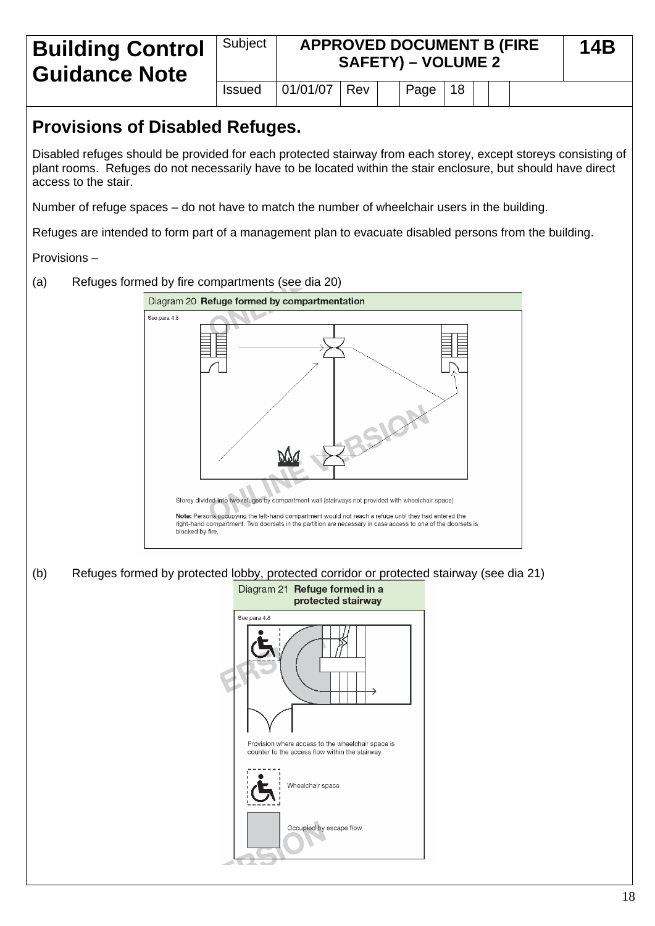| <b>Building Control</b><br><b>Guidance Note</b> | Subject       |                 |  | <b>APPROVED DOCUMENT B (FIRE</b><br><b>SAFETY) – VOLUME 2</b> |    |  | <b>14B</b> |
|-------------------------------------------------|---------------|-----------------|--|---------------------------------------------------------------|----|--|------------|
|                                                 | <b>Issued</b> | 「01/01/07 │ Rev |  | Page                                                          | 18 |  |            |

# **Provisions of Disabled Refuges.**

Disabled refuges should be provided for each protected stairway from each storey, except storeys consisting of plant rooms. Refuges do not necessarily have to be located within the stair enclosure, but should have direct access to the stair.

Number of refuge spaces – do not have to match the number of wheelchair users in the building.

Refuges are intended to form part of a management plan to evacuate disabled persons from the building.

Provisions –

(a) Refuges formed by fire compartments (see dia 20)



#### (b) Refuges formed by protected lobby, protected corridor or protected stairway (see dia 21)

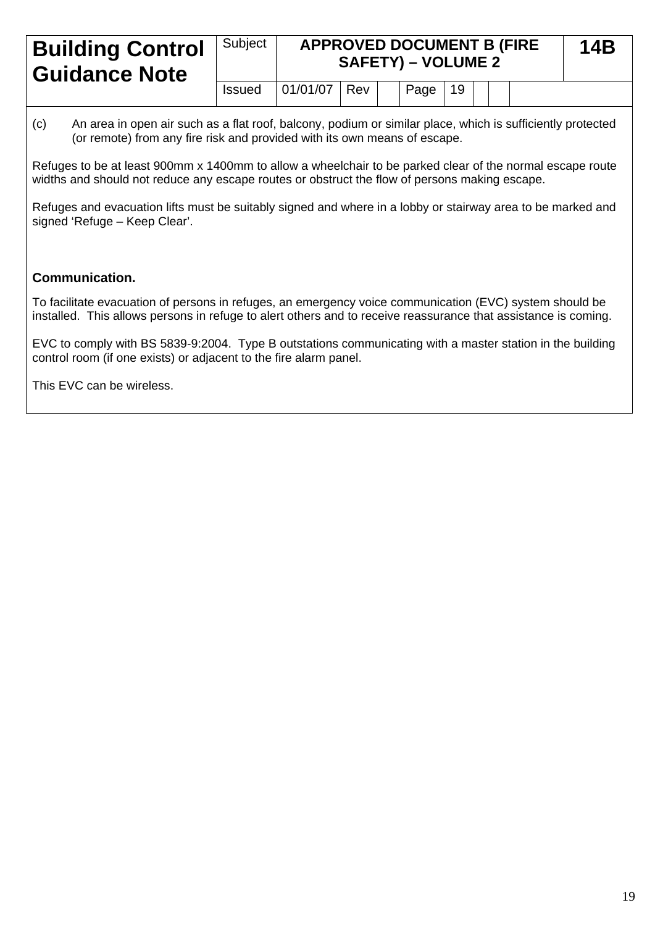| <b>Building Control</b><br><b>Guidance Note</b> | Subject       | <b>APPROVED DOCUMENT B (FIRE</b> |  | <b>SAFETY) – VOLUME 2</b> |    |  | <b>14B</b> |  |
|-------------------------------------------------|---------------|----------------------------------|--|---------------------------|----|--|------------|--|
|                                                 | <b>Issued</b> | $101/01/07$ Rev                  |  | Page                      | 19 |  |            |  |

(c) An area in open air such as a flat roof, balcony, podium or similar place, which is sufficiently protected (or remote) from any fire risk and provided with its own means of escape.

Refuges to be at least 900mm x 1400mm to allow a wheelchair to be parked clear of the normal escape route widths and should not reduce any escape routes or obstruct the flow of persons making escape.

Refuges and evacuation lifts must be suitably signed and where in a lobby or stairway area to be marked and signed 'Refuge – Keep Clear'.

#### **Communication.**

To facilitate evacuation of persons in refuges, an emergency voice communication (EVC) system should be installed. This allows persons in refuge to alert others and to receive reassurance that assistance is coming.

EVC to comply with BS 5839-9:2004. Type B outstations communicating with a master station in the building control room (if one exists) or adjacent to the fire alarm panel.

This EVC can be wireless.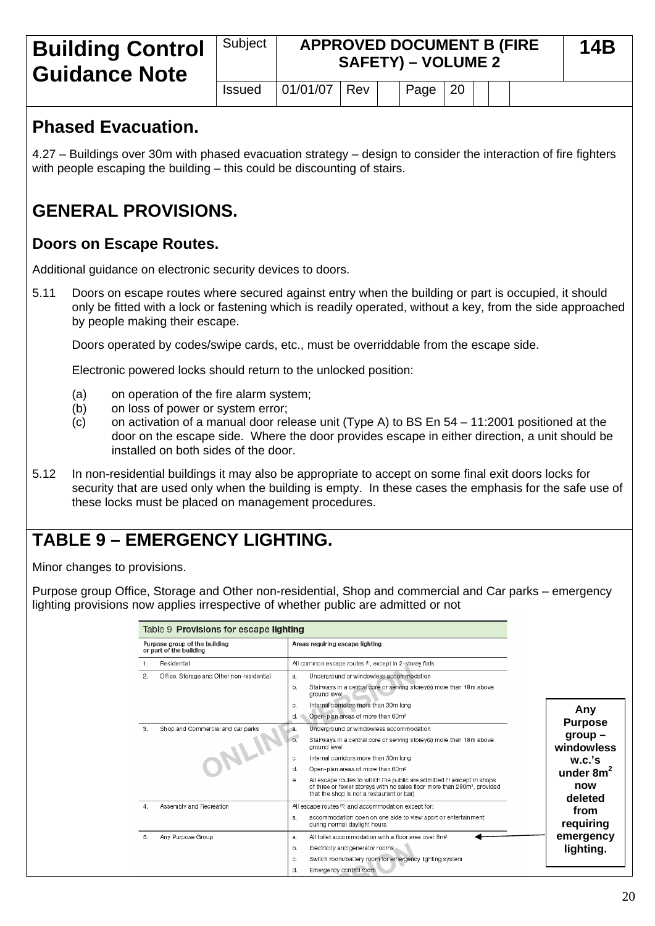|      |                   | <b>Building Control</b><br><b>Guidance Note</b>                                                                                                                                                                                                                                                                        | Subject       |          |       | <b>APPROVED DOCUMENT B (FIRE</b><br><b>SAFETY) - VOLUME 2</b> |    |  | 14B |
|------|-------------------|------------------------------------------------------------------------------------------------------------------------------------------------------------------------------------------------------------------------------------------------------------------------------------------------------------------------|---------------|----------|-------|---------------------------------------------------------------|----|--|-----|
|      |                   |                                                                                                                                                                                                                                                                                                                        | <b>Issued</b> | 01/01/07 | l Rev | Page                                                          | 20 |  |     |
|      |                   | <b>Phased Evacuation.</b>                                                                                                                                                                                                                                                                                              |               |          |       |                                                               |    |  |     |
|      |                   | 4.27 – Buildings over 30m with phased evacuation strategy – design to consider the interaction of fire fighters<br>with people escaping the building – this could be discounting of stairs.                                                                                                                            |               |          |       |                                                               |    |  |     |
|      |                   | <b>GENERAL PROVISIONS.</b>                                                                                                                                                                                                                                                                                             |               |          |       |                                                               |    |  |     |
|      |                   | Doors on Escape Routes.                                                                                                                                                                                                                                                                                                |               |          |       |                                                               |    |  |     |
|      |                   | Additional guidance on electronic security devices to doors.                                                                                                                                                                                                                                                           |               |          |       |                                                               |    |  |     |
| 5.11 |                   | Doors on escape routes where secured against entry when the building or part is occupied, it should<br>only be fitted with a lock or fastening which is readily operated, without a key, from the side approached<br>by people making their escape.                                                                    |               |          |       |                                                               |    |  |     |
|      |                   | Doors operated by codes/swipe cards, etc., must be overriddable from the escape side.                                                                                                                                                                                                                                  |               |          |       |                                                               |    |  |     |
|      |                   | Electronic powered locks should return to the unlocked position:                                                                                                                                                                                                                                                       |               |          |       |                                                               |    |  |     |
|      | (a)<br>(b)<br>(c) | on operation of the fire alarm system;<br>on loss of power or system error;<br>on activation of a manual door release unit (Type A) to BS En $54 - 11:2001$ positioned at the<br>door on the escape side. Where the door provides escape in either direction, a unit should be<br>installed on both sides of the door. |               |          |       |                                                               |    |  |     |
| 5.12 |                   | In non-residential buildings it may also be appropriate to accept on some final exit doors locks for<br>security that are used only when the building is empty. In these cases the emphasis for the safe use of<br>these locks must be placed on management procedures.                                                |               |          |       |                                                               |    |  |     |

# **TABLE 9 – EMERGENCY LIGHTING.**

Minor changes to provisions.

Purpose group Office, Storage and Other non-residential, Shop and commercial and Car parks – emergency lighting provisions now applies irrespective of whether public are admitted or not

|    | Table 9 <b>Provisions for escape lighting</b>            |                                                                                                                                                                                                                    |                         |
|----|----------------------------------------------------------|--------------------------------------------------------------------------------------------------------------------------------------------------------------------------------------------------------------------|-------------------------|
|    | Purpose group of the building<br>or part of the building | Areas requiring escape lighting                                                                                                                                                                                    |                         |
|    | Residential                                              | All common escape routes (1), except in 2-storey flats                                                                                                                                                             |                         |
| 2. | Office, Storage and Other non-residential                | Underground or windowless accommodation<br>a.                                                                                                                                                                      |                         |
|    |                                                          | b.<br>Stairways in a central core or serving storey(s) more than 18m above<br>around level.                                                                                                                        |                         |
|    |                                                          | Internal corridors more than 30m long<br>C.                                                                                                                                                                        | Any                     |
|    |                                                          | Open-plan areas of more than 60m <sup>2</sup><br>d.                                                                                                                                                                |                         |
| З. | Shop and Commercial and car parks                        | Underground or windowless accommodation<br>a.                                                                                                                                                                      | <b>Purpose</b>          |
|    | ONLI                                                     | b.<br>Stairways in a central core or serving storey(s) more than 18m above<br>around level                                                                                                                         | $group -$<br>windowless |
|    |                                                          | Internal corridors more than 30m long<br>C.                                                                                                                                                                        | W.C.'s                  |
|    |                                                          | Open-plan areas of more than 60m <sup>2</sup><br>d.                                                                                                                                                                | under 8m <sup>2</sup>   |
|    |                                                          | All escape routes to which the public are admitted (1) (except in shops<br>е.<br>of three or fewer storeys with no sales floor more than 280m <sup>2</sup> , provided<br>that the shop is not a restaurant or bar) | now<br>deleted          |
| 4. | Assembly and Recreation                                  | All escape routes (1), and accommodation except for:                                                                                                                                                               | from                    |
|    |                                                          | accommodation open on one side to view sport or entertainment<br>a.<br>during normal daylight hours                                                                                                                | requiring               |
| 5. | Any Purpose Group                                        | All toilet accommodation with a floor area over 8m <sup>2</sup><br>a.                                                                                                                                              | emergency               |
|    |                                                          | Electricity and generator rooms.<br>b.                                                                                                                                                                             | lighting.               |
|    |                                                          | Switch room/battery room for emergency lighting system<br>C.                                                                                                                                                       |                         |
|    |                                                          | Emergency control room<br>d.                                                                                                                                                                                       |                         |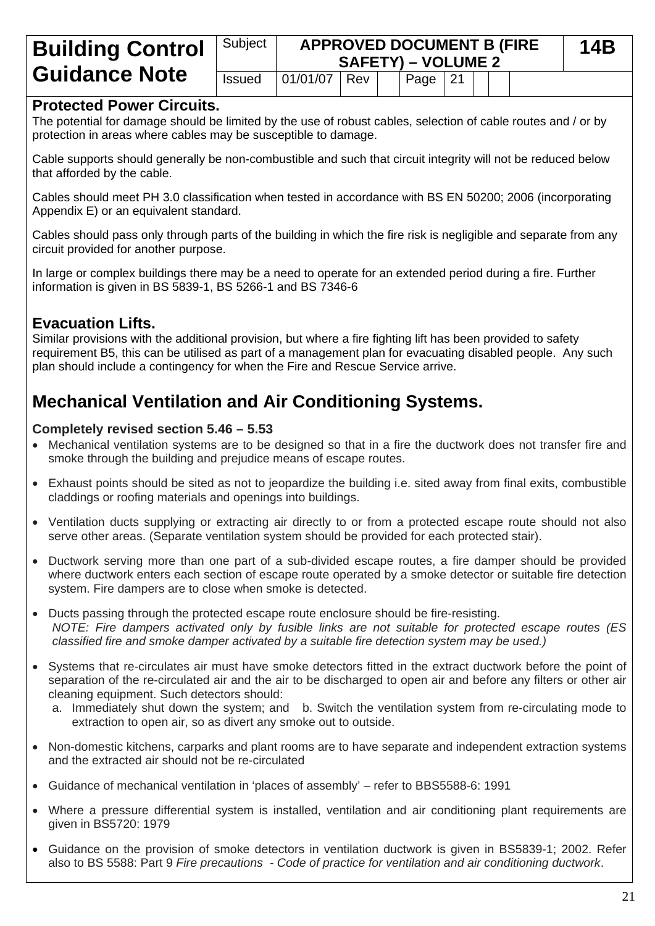| <b>Building Control</b>         | Subject | <b>APPROVED DOCUMENT B (FIRE</b> |  | <b>SAFETY) – VOLUME 2</b> |  |  | <b>14B</b> |  |
|---------------------------------|---------|----------------------------------|--|---------------------------|--|--|------------|--|
| <b>Guidance Note</b>            | Issued  | 01/01/07   Rev                   |  | Page $ 21$                |  |  |            |  |
| <b>Destasted Dawer Circuita</b> |         |                                  |  |                           |  |  |            |  |

### **Protected Power Circuits.**

The potential for damage should be limited by the use of robust cables, selection of cable routes and / or by protection in areas where cables may be susceptible to damage.

Cable supports should generally be non-combustible and such that circuit integrity will not be reduced below that afforded by the cable.

Cables should meet PH 3.0 classification when tested in accordance with BS EN 50200; 2006 (incorporating Appendix E) or an equivalent standard.

Cables should pass only through parts of the building in which the fire risk is negligible and separate from any circuit provided for another purpose.

In large or complex buildings there may be a need to operate for an extended period during a fire. Further information is given in BS 5839-1, BS 5266-1 and BS 7346-6

## **Evacuation Lifts.**

Similar provisions with the additional provision, but where a fire fighting lift has been provided to safety requirement B5, this can be utilised as part of a management plan for evacuating disabled people. Any such plan should include a contingency for when the Fire and Rescue Service arrive.

# **Mechanical Ventilation and Air Conditioning Systems.**

#### **Completely revised section 5.46 – 5.53**

- Mechanical ventilation systems are to be designed so that in a fire the ductwork does not transfer fire and smoke through the building and prejudice means of escape routes.
- Exhaust points should be sited as not to jeopardize the building i.e. sited away from final exits, combustible claddings or roofing materials and openings into buildings.
- Ventilation ducts supplying or extracting air directly to or from a protected escape route should not also serve other areas. (Separate ventilation system should be provided for each protected stair).
- Ductwork serving more than one part of a sub-divided escape routes, a fire damper should be provided where ductwork enters each section of escape route operated by a smoke detector or suitable fire detection system. Fire dampers are to close when smoke is detected.
- Ducts passing through the protected escape route enclosure should be fire-resisting. *NOTE: Fire dampers activated only by fusible links are not suitable for protected escape routes (ES classified fire and smoke damper activated by a suitable fire detection system may be used.)*
- Systems that re-circulates air must have smoke detectors fitted in the extract ductwork before the point of separation of the re-circulated air and the air to be discharged to open air and before any filters or other air cleaning equipment. Such detectors should:
	- a. Immediately shut down the system; and b. Switch the ventilation system from re-circulating mode to extraction to open air, so as divert any smoke out to outside.
- Non-domestic kitchens, carparks and plant rooms are to have separate and independent extraction systems and the extracted air should not be re-circulated
- Guidance of mechanical ventilation in 'places of assembly' refer to BBS5588-6: 1991
- Where a pressure differential system is installed, ventilation and air conditioning plant requirements are given in BS5720: 1979
- Guidance on the provision of smoke detectors in ventilation ductwork is given in BS5839-1; 2002. Refer also to BS 5588: Part 9 *Fire precautions - Code of practice for ventilation and air conditioning ductwork*.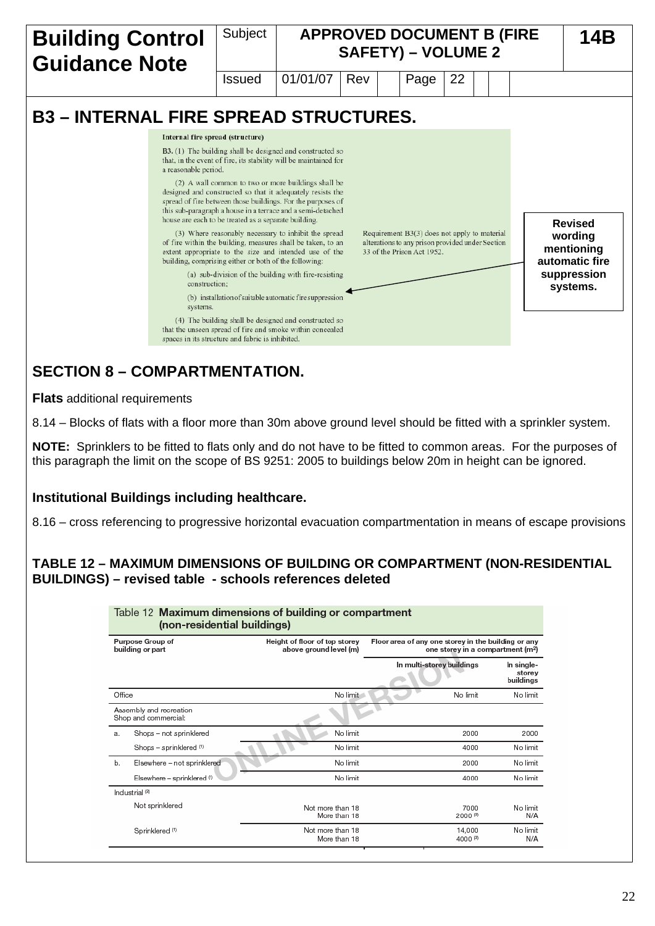| <b>Building Control</b><br><b>Guidance Note</b> | Subject                                                                                                                                                                                                                                                                                                                                                                                                                                                                                                                                                                                                                                                                                                                                                                                                                                                                                                                                                                                                                                                                         |          |     | <b>APPROVED DOCUMENT B (FIRE</b><br><b>SAFETY) - VOLUME 2</b>                                                                  |    |  | <b>14B</b>                                                                           |
|-------------------------------------------------|---------------------------------------------------------------------------------------------------------------------------------------------------------------------------------------------------------------------------------------------------------------------------------------------------------------------------------------------------------------------------------------------------------------------------------------------------------------------------------------------------------------------------------------------------------------------------------------------------------------------------------------------------------------------------------------------------------------------------------------------------------------------------------------------------------------------------------------------------------------------------------------------------------------------------------------------------------------------------------------------------------------------------------------------------------------------------------|----------|-----|--------------------------------------------------------------------------------------------------------------------------------|----|--|--------------------------------------------------------------------------------------|
|                                                 | <b>Issued</b>                                                                                                                                                                                                                                                                                                                                                                                                                                                                                                                                                                                                                                                                                                                                                                                                                                                                                                                                                                                                                                                                   | 01/01/07 | Rev | Page                                                                                                                           | 22 |  |                                                                                      |
| <b>B3-INTERNAL FIRE SPREAD STRUCTURES.</b>      |                                                                                                                                                                                                                                                                                                                                                                                                                                                                                                                                                                                                                                                                                                                                                                                                                                                                                                                                                                                                                                                                                 |          |     |                                                                                                                                |    |  |                                                                                      |
|                                                 | Internal fire spread (structure)<br><b>B3.</b> (1) The building shall be designed and constructed so<br>that, in the event of fire, its stability will be maintained for<br>a reasonable period.<br>(2) A wall common to two or more buildings shall be<br>designed and constructed so that it adequately resists the<br>spread of fire between those buildings. For the purposes of<br>this sub-paragraph a house in a terrace and a semi-detached<br>house are each to be treated as a separate building.<br>(3) Where reasonably necessary to inhibit the spread<br>of fire within the building, measures shall be taken, to an<br>extent appropriate to the size and intended use of the<br>building, comprising either or both of the following:<br>(a) sub-division of the building with fire-resisting<br>construction;<br>(b) installation of suitable automatic fire suppression<br>systems.<br>(4) The building shall be designed and constructed so<br>that the unseen spread of fire and smoke within concealed<br>spaces in its structure and fabric is inhibited. |          |     | Requirement B3(3) does not apply to material<br>alterations to any prison provided under Section<br>33 of the Prison Act 1952. |    |  | <b>Revised</b><br>wording<br>mentioning<br>automatic fire<br>suppression<br>systems. |

# **SECTION 8 – COMPARTMENTATION.**

**Flats** additional requirements

8.14 – Blocks of flats with a floor more than 30m above ground level should be fitted with a sprinkler system.

**NOTE:** Sprinklers to be fitted to flats only and do not have to be fitted to common areas. For the purposes of this paragraph the limit on the scope of BS 9251: 2005 to buildings below 20m in height can be ignored.

#### **Institutional Buildings including healthcare.**

8.16 – cross referencing to progressive horizontal evacuation compartmentation in means of escape provisions

#### **TABLE 12 – MAXIMUM DIMENSIONS OF BUILDING OR COMPARTMENT (NON-RESIDENTIAL BUILDINGS) – revised table - schools references deleted**

| Table 12 Maximum dimensions of building or compartment<br>(non-residential buildings) |                                                         |                                                                                                      |                                   |  |  |  |  |  |  |  |
|---------------------------------------------------------------------------------------|---------------------------------------------------------|------------------------------------------------------------------------------------------------------|-----------------------------------|--|--|--|--|--|--|--|
| Purpose Group of<br>building or part                                                  | Height of floor of top storey<br>above ground level (m) | Floor area of any one storey in the building or any<br>one storey in a compartment (m <sup>2</sup> ) |                                   |  |  |  |  |  |  |  |
|                                                                                       |                                                         | In multi-storey buildings                                                                            | In single-<br>storey<br>buildings |  |  |  |  |  |  |  |
| Office                                                                                | No limit                                                | No limit                                                                                             | No limit                          |  |  |  |  |  |  |  |
| Assembly and recreation<br>Shop and commercial:                                       |                                                         |                                                                                                      |                                   |  |  |  |  |  |  |  |
| Shops - not sprinklered<br>a.                                                         | No limit                                                | 2000                                                                                                 | 2000                              |  |  |  |  |  |  |  |
| Shops - sprinklered $[1]$                                                             | No limit                                                | 4000                                                                                                 | No limit                          |  |  |  |  |  |  |  |
| b.<br>Elsewhere - not sprinklered                                                     | No limit                                                | 2000                                                                                                 | No limit                          |  |  |  |  |  |  |  |
| Elsewhere - sprinklered (1)                                                           | No limit                                                | 4000                                                                                                 | No limit                          |  |  |  |  |  |  |  |
| Industrial <sup>(2)</sup>                                                             |                                                         |                                                                                                      |                                   |  |  |  |  |  |  |  |
| Not sprinklered                                                                       | Not more than 18<br>More than 18                        | 7000<br>2000 <sup>89</sup>                                                                           | No limit<br>N/A                   |  |  |  |  |  |  |  |
| Sprinklered <sup>[1)</sup>                                                            | Not more than 18<br>More than 18                        | 14,000<br>4000 P                                                                                     | No limit<br>N/A                   |  |  |  |  |  |  |  |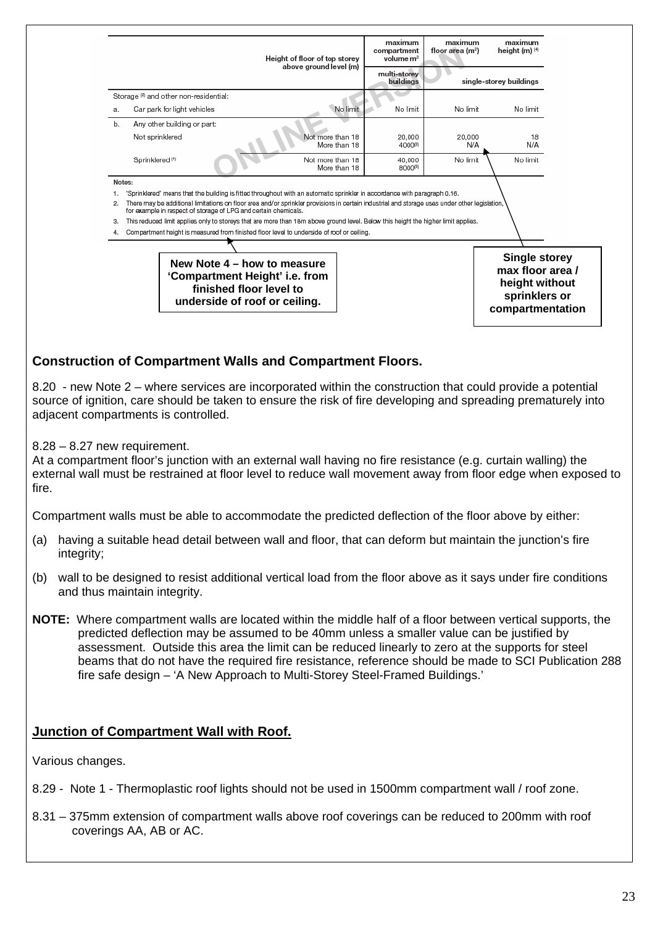

#### **Construction of Compartment Walls and Compartment Floors.**

8.20 - new Note 2 – where services are incorporated within the construction that could provide a potential source of ignition, care should be taken to ensure the risk of fire developing and spreading prematurely into adjacent compartments is controlled.

8.28 – 8.27 new requirement.

At a compartment floor's junction with an external wall having no fire resistance (e.g. curtain walling) the external wall must be restrained at floor level to reduce wall movement away from floor edge when exposed to fire.

Compartment walls must be able to accommodate the predicted deflection of the floor above by either:

- (a) having a suitable head detail between wall and floor, that can deform but maintain the junction's fire integrity;
- (b) wall to be designed to resist additional vertical load from the floor above as it says under fire conditions and thus maintain integrity.
- **NOTE:** Where compartment walls are located within the middle half of a floor between vertical supports, the predicted deflection may be assumed to be 40mm unless a smaller value can be justified by assessment. Outside this area the limit can be reduced linearly to zero at the supports for steel beams that do not have the required fire resistance, reference should be made to SCI Publication 288 fire safe design – 'A New Approach to Multi-Storey Steel-Framed Buildings.'

#### **Junction of Compartment Wall with Roof.**

Various changes.

- 8.29 Note 1 Thermoplastic roof lights should not be used in 1500mm compartment wall / roof zone.
- 8.31 375mm extension of compartment walls above roof coverings can be reduced to 200mm with roof coverings AA, AB or AC.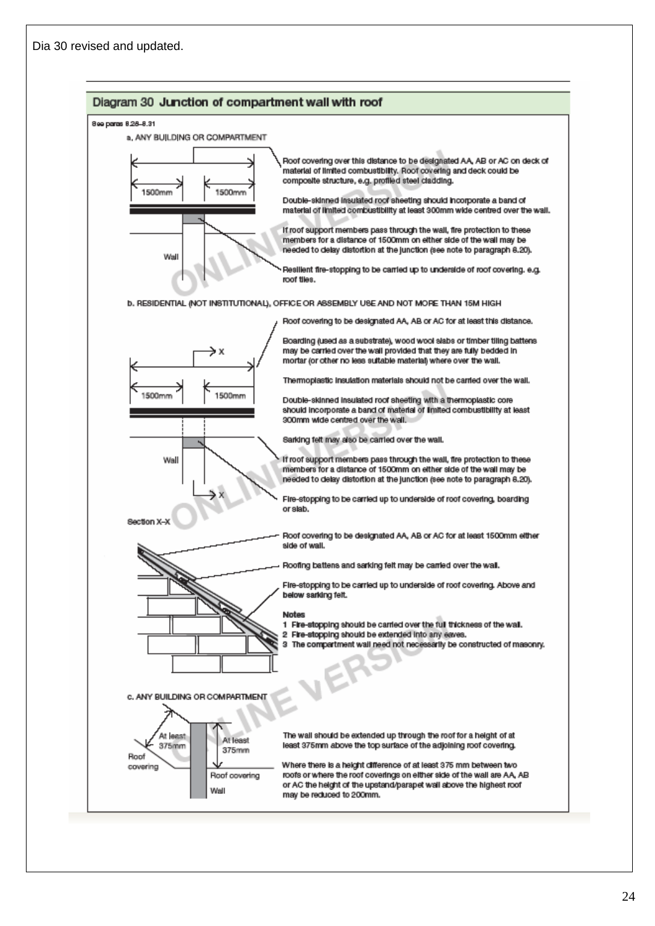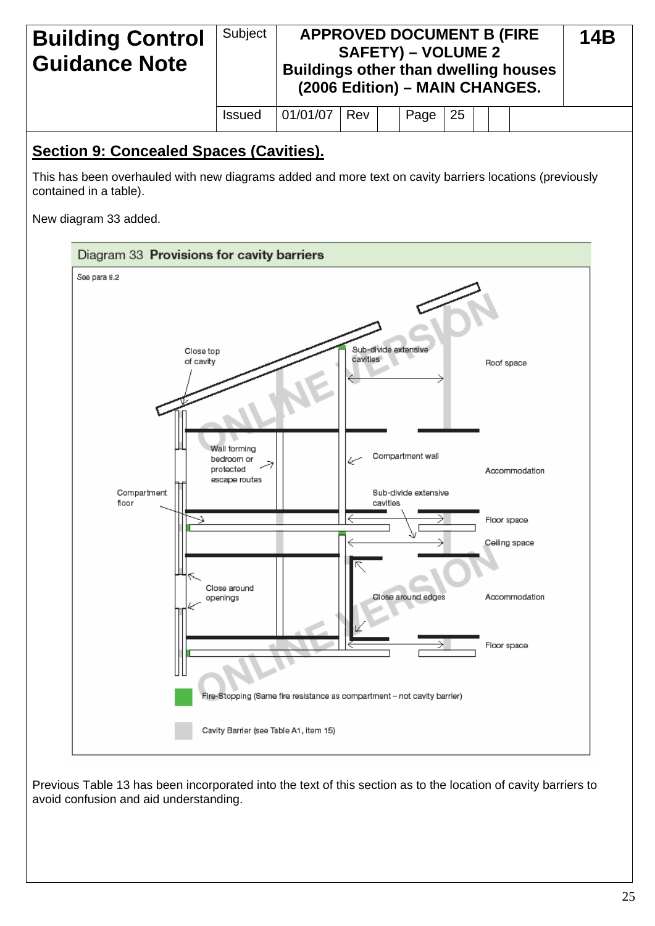| <b>Building Control</b><br><b>Guidance Note</b> | Subject       | <b>APPROVED DOCUMENT B (FIRE</b><br><b>SAFETY) – VOLUME 2</b><br><b>Buildings other than dwelling houses</b><br>(2006 Edition) - MAIN CHANGES. |     |  |      |    |  | <b>14B</b> |  |
|-------------------------------------------------|---------------|------------------------------------------------------------------------------------------------------------------------------------------------|-----|--|------|----|--|------------|--|
|                                                 | <b>Issued</b> | 01/01/07                                                                                                                                       | Rev |  | Page | 25 |  |            |  |

### **Section 9: Concealed Spaces (Cavities).**

This has been overhauled with new diagrams added and more text on cavity barriers locations (previously contained in a table).

New diagram 33 added.



Previous Table 13 has been incorporated into the text of this section as to the location of cavity barriers to avoid confusion and aid understanding.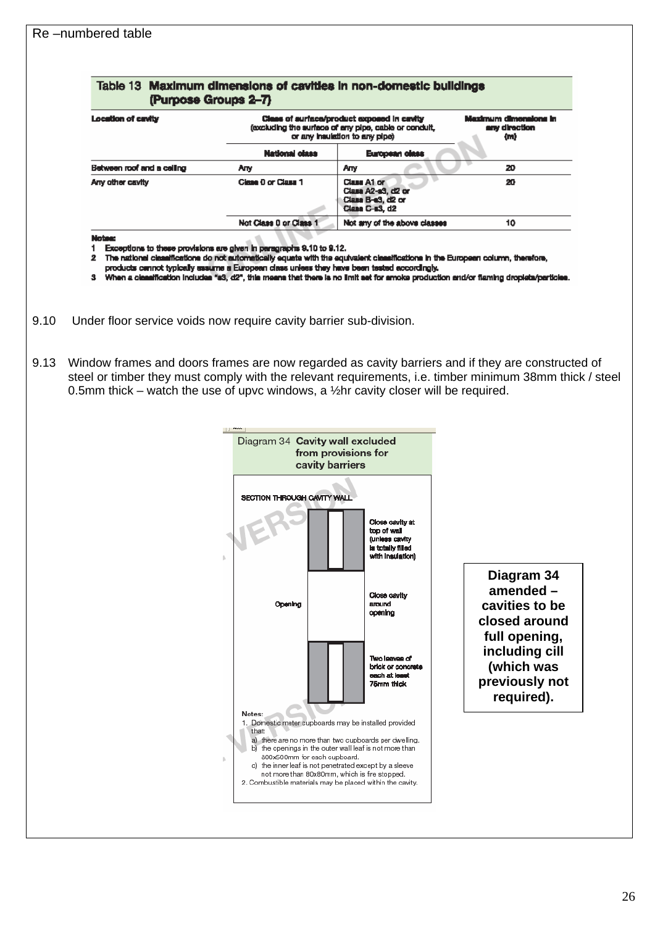| Table 13 Maximum dimensions of cavities in non-domestic buildings<br>(Purpose Groups 2-7) |                        |                                                                                                                                       |                                               |  |  |  |  |  |  |  |  |
|-------------------------------------------------------------------------------------------|------------------------|---------------------------------------------------------------------------------------------------------------------------------------|-----------------------------------------------|--|--|--|--|--|--|--|--|
| Location of cavity                                                                        |                        | Cleas of surface/product exposed in cavity<br>(excluding the surface of any pipe, cable or conduit,<br>or any insulation to any pipe) | Maximum dimensions in<br>any direction<br>(m) |  |  |  |  |  |  |  |  |
|                                                                                           | <b>National class</b>  | European olass                                                                                                                        |                                               |  |  |  |  |  |  |  |  |
| Between roof and a celling                                                                | <b>Any</b>             | Any                                                                                                                                   | 20                                            |  |  |  |  |  |  |  |  |
| Any other cavity                                                                          | Class 0 or Class 1     | Class A1 or<br>Class A2-s3, d2 or<br>Class B-e3, d2 or<br>Class C-s3, d2                                                              | 20                                            |  |  |  |  |  |  |  |  |
|                                                                                           | Not Class 0 or Class 1 | Not any of the above classes                                                                                                          | 10                                            |  |  |  |  |  |  |  |  |

ons to the e provisions are given in paragraphs 9.10 t

The national cleanifications do not automatically equate with the equivalent classifications in the European column, therefore,  $\overline{2}$ 

products cennot typically essume a European class unless they have been tested accordingly.

When a cleanification includes "s3, d2", this means that there is no limit set for amoke production and/or flaming droplets/particles.  $\overline{\mathbf{3}}$ 

- 9.10 Under floor service voids now require cavity barrier sub-division.
- 9.13 Window frames and doors frames are now regarded as cavity barriers and if they are constructed of steel or timber they must comply with the relevant requirements, i.e. timber minimum 38mm thick / steel 0.5mm thick – watch the use of upvc windows, a ½hr cavity closer will be required.

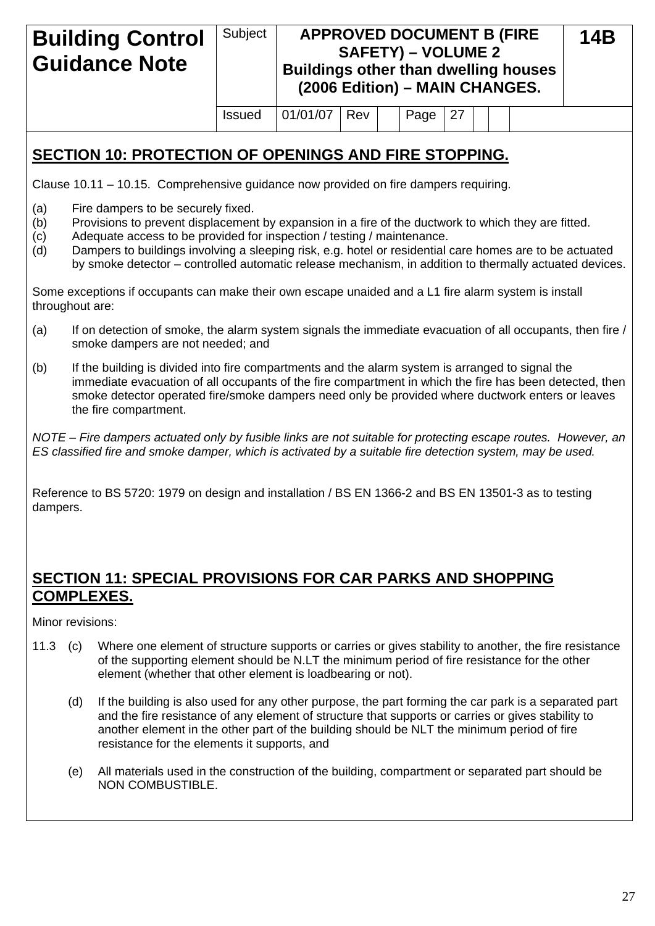| <b>Building Control</b><br><b>Guidance Note</b> | Subject       | <b>Buildings other than dwelling houses</b><br>(2006 Edition) - MAIN CHANGES. |       | <b>APPROVED DOCUMENT B (FIRE</b><br><b>SAFETY) – VOLUME 2</b> |    |  | <b>14B</b> |  |
|-------------------------------------------------|---------------|-------------------------------------------------------------------------------|-------|---------------------------------------------------------------|----|--|------------|--|
|                                                 | <b>Issued</b> | 01/01/07                                                                      | l Rev | Page                                                          | 27 |  |            |  |

# **SECTION 10: PROTECTION OF OPENINGS AND FIRE STOPPING.**

Clause 10.11 – 10.15. Comprehensive guidance now provided on fire dampers requiring.

- (a) Fire dampers to be securely fixed.
- (b) Provisions to prevent displacement by expansion in a fire of the ductwork to which they are fitted.
- (c) Adequate access to be provided for inspection / testing / maintenance.
- (d) Dampers to buildings involving a sleeping risk, e.g. hotel or residential care homes are to be actuated by smoke detector – controlled automatic release mechanism, in addition to thermally actuated devices.

Some exceptions if occupants can make their own escape unaided and a L1 fire alarm system is install throughout are:

- (a) If on detection of smoke, the alarm system signals the immediate evacuation of all occupants, then fire / smoke dampers are not needed; and
- (b) If the building is divided into fire compartments and the alarm system is arranged to signal the immediate evacuation of all occupants of the fire compartment in which the fire has been detected, then smoke detector operated fire/smoke dampers need only be provided where ductwork enters or leaves the fire compartment.

*NOTE – Fire dampers actuated only by fusible links are not suitable for protecting escape routes. However, an ES classified fire and smoke damper, which is activated by a suitable fire detection system, may be used.* 

Reference to BS 5720: 1979 on design and installation / BS EN 1366-2 and BS EN 13501-3 as to testing dampers.

### **SECTION 11: SPECIAL PROVISIONS FOR CAR PARKS AND SHOPPING COMPLEXES.**

Minor revisions:

- 11.3 (c) Where one element of structure supports or carries or gives stability to another, the fire resistance of the supporting element should be N.LT the minimum period of fire resistance for the other element (whether that other element is loadbearing or not).
	- (d) If the building is also used for any other purpose, the part forming the car park is a separated part and the fire resistance of any element of structure that supports or carries or gives stability to another element in the other part of the building should be NLT the minimum period of fire resistance for the elements it supports, and
	- (e) All materials used in the construction of the building, compartment or separated part should be NON COMBUSTIBLE.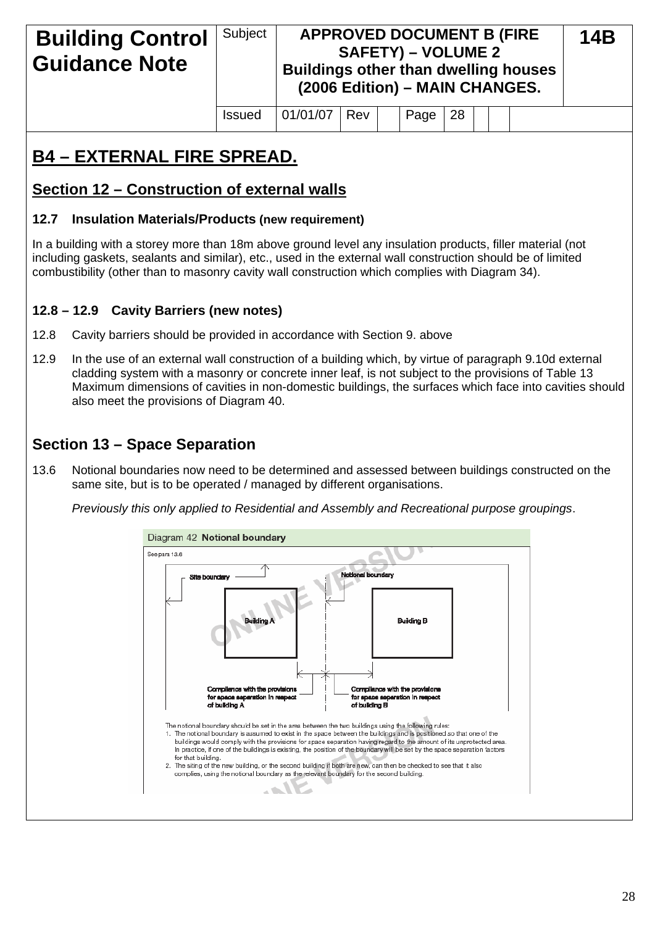#### Subject **APPROVED DOCUMENT B (FIRE SAFETY) – VOLUME 2 Buildings other than dwelling houses (2006 Edition) – MAIN CHANGES. Building Control**  $\vert$  Subject | APPROVED DOCUMENT B (FIRE | 14B **Guidance Note**

 $Is sued \ |01/01/07 \ |$  Rev  $\ |$  Page 28

# **B4 – EXTERNAL FIRE SPREAD.**

# **Section 12 – Construction of external walls**

### **12.7 Insulation Materials/Products (new requirement)**

In a building with a storey more than 18m above ground level any insulation products, filler material (not including gaskets, sealants and similar), etc., used in the external wall construction should be of limited combustibility (other than to masonry cavity wall construction which complies with Diagram 34).

# **12.8 – 12.9 Cavity Barriers (new notes)**

- 12.8 Cavity barriers should be provided in accordance with Section 9. above
- 12.9 In the use of an external wall construction of a building which, by virtue of paragraph 9.10d external cladding system with a masonry or concrete inner leaf, is not subject to the provisions of Table 13 Maximum dimensions of cavities in non-domestic buildings, the surfaces which face into cavities should also meet the provisions of Diagram 40.

# **Section 13 – Space Separation**

13.6 Notional boundaries now need to be determined and assessed between buildings constructed on the same site, but is to be operated / managed by different organisations.

*Previously this only applied to Residential and Assembly and Recreational purpose groupings*.

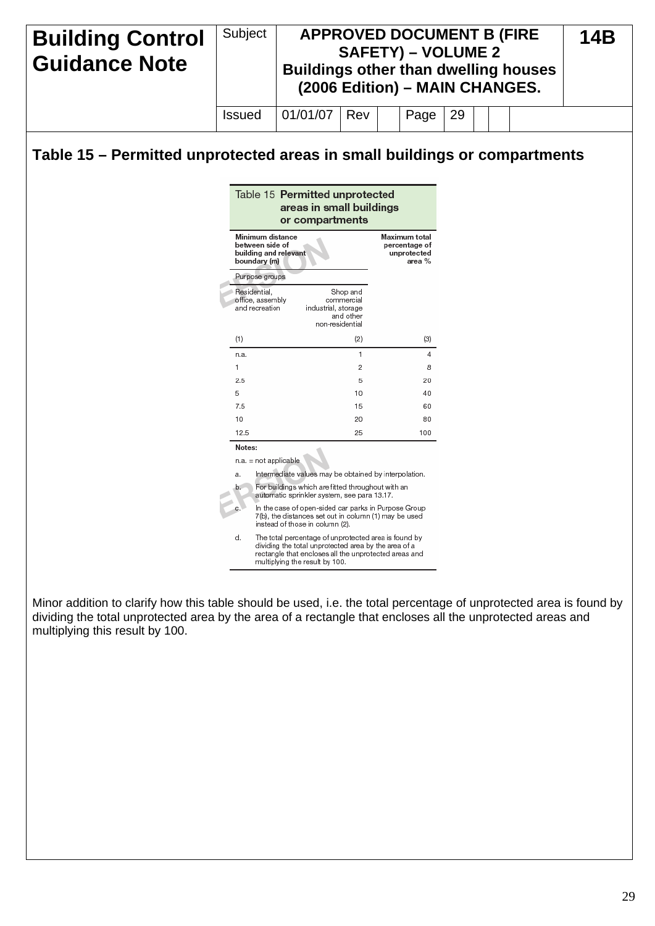| <b>Building Control</b><br><b>Guidance Note</b> | Subject                                                                                                     | <b>APPROVED DOCUMENT B (FIRE)</b><br><b>SAFETY) - VOLUME 2</b><br><b>Buildings other than dwelling houses</b><br>(2006 Edition) - MAIN CHANGES. | <b>14B</b> |      |    |  |  |  |
|-------------------------------------------------|-------------------------------------------------------------------------------------------------------------|-------------------------------------------------------------------------------------------------------------------------------------------------|------------|------|----|--|--|--|
|                                                 | <b>Issued</b>                                                                                               | 01/01/07                                                                                                                                        | Rev        | Page | 29 |  |  |  |
|                                                 | Table 15 – Permitted unprotected areas in small buildings or compartments<br>Table 15 Permitted unprotected |                                                                                                                                                 |            |      |    |  |  |  |

|        |                                                                              | areas in small buildings<br>or compartments                                                                                                                                                             |                                                         |
|--------|------------------------------------------------------------------------------|---------------------------------------------------------------------------------------------------------------------------------------------------------------------------------------------------------|---------------------------------------------------------|
|        | Minimum distance<br>between side of<br>building and relevant<br>boundary (m) |                                                                                                                                                                                                         | Maximum total<br>percentage of<br>unprotected<br>area % |
|        | Purpose groups                                                               |                                                                                                                                                                                                         |                                                         |
|        | Residential,<br>office, assembly<br>and recreation                           | Shop and<br>commercial<br>industrial, storage<br>and other<br>non-residential                                                                                                                           |                                                         |
| (1)    |                                                                              | (2)                                                                                                                                                                                                     | (3)                                                     |
| n.a.   |                                                                              | 1                                                                                                                                                                                                       | 4                                                       |
| 1      |                                                                              | 2                                                                                                                                                                                                       | 8                                                       |
| 2.5    |                                                                              | 5                                                                                                                                                                                                       | 20                                                      |
| 5      |                                                                              | 10                                                                                                                                                                                                      | 40                                                      |
| 7.5    |                                                                              | 15                                                                                                                                                                                                      | 60                                                      |
| 10     |                                                                              | 20                                                                                                                                                                                                      | 80                                                      |
| 12.5   |                                                                              | 25                                                                                                                                                                                                      | 100                                                     |
| Notes: |                                                                              |                                                                                                                                                                                                         |                                                         |
|        | $n.a. = not applicable$                                                      |                                                                                                                                                                                                         |                                                         |
| a.     |                                                                              | Intermediate values may be obtained by interpolation.                                                                                                                                                   |                                                         |
| b.     |                                                                              | For buildings which are fitted throughout with an<br>automatic sprinkler system, see para 13.17.                                                                                                        |                                                         |
| c.     |                                                                              | In the case of open-sided car parks in Purpose Group<br>7(b), the distances set out in column (1) may be used<br>instead of those in column (2).                                                        |                                                         |
| d.     |                                                                              | The total percentage of unprotected area is found by<br>dividing the total unprotected area by the area of a<br>rectangle that encloses all the unprotected areas and<br>multiplying the result by 100. |                                                         |

Minor addition to clarify how this table should be used, i.e. the total percentage of unprotected area is found by dividing the total unprotected area by the area of a rectangle that encloses all the unprotected areas and multiplying this result by 100.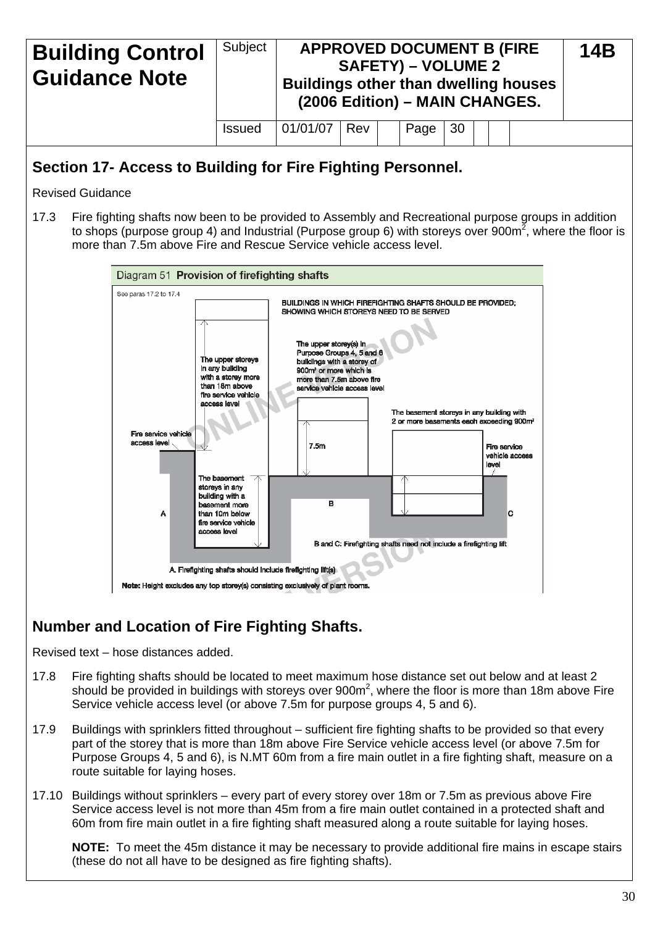| <b>Building Control</b><br><b>Guidance Note</b> | Subject       |          |            | <b>APPROVED DOCUMENT B (FIRE</b><br><b>SAFETY) – VOLUME 2</b><br><b>Buildings other than dwelling houses</b><br>(2006 Edition) - MAIN CHANGES. |    |  | <b>14B</b> |
|-------------------------------------------------|---------------|----------|------------|------------------------------------------------------------------------------------------------------------------------------------------------|----|--|------------|
|                                                 | <b>Issued</b> | 01/01/07 | <b>Rev</b> | Page                                                                                                                                           | 30 |  |            |

# **Section 17- Access to Building for Fire Fighting Personnel.**

#### Revised Guidance

17.3 Fire fighting shafts now been to be provided to Assembly and Recreational purpose groups in addition to shops (purpose group 4) and Industrial (Purpose group 6) with storeys over 900m<sup>2</sup>, where the floor is more than 7.5m above Fire and Rescue Service vehicle access level.



# **Number and Location of Fire Fighting Shafts.**

Revised text – hose distances added.

- 17.8 Fire fighting shafts should be located to meet maximum hose distance set out below and at least 2 should be provided in buildings with storeys over  $900m^2$ , where the floor is more than 18m above Fire Service vehicle access level (or above 7.5m for purpose groups 4, 5 and 6).
- 17.9 Buildings with sprinklers fitted throughout sufficient fire fighting shafts to be provided so that every part of the storey that is more than 18m above Fire Service vehicle access level (or above 7.5m for Purpose Groups 4, 5 and 6), is N.MT 60m from a fire main outlet in a fire fighting shaft, measure on a route suitable for laying hoses.
- 17.10 Buildings without sprinklers every part of every storey over 18m or 7.5m as previous above Fire Service access level is not more than 45m from a fire main outlet contained in a protected shaft and 60m from fire main outlet in a fire fighting shaft measured along a route suitable for laying hoses.

**NOTE:** To meet the 45m distance it may be necessary to provide additional fire mains in escape stairs (these do not all have to be designed as fire fighting shafts).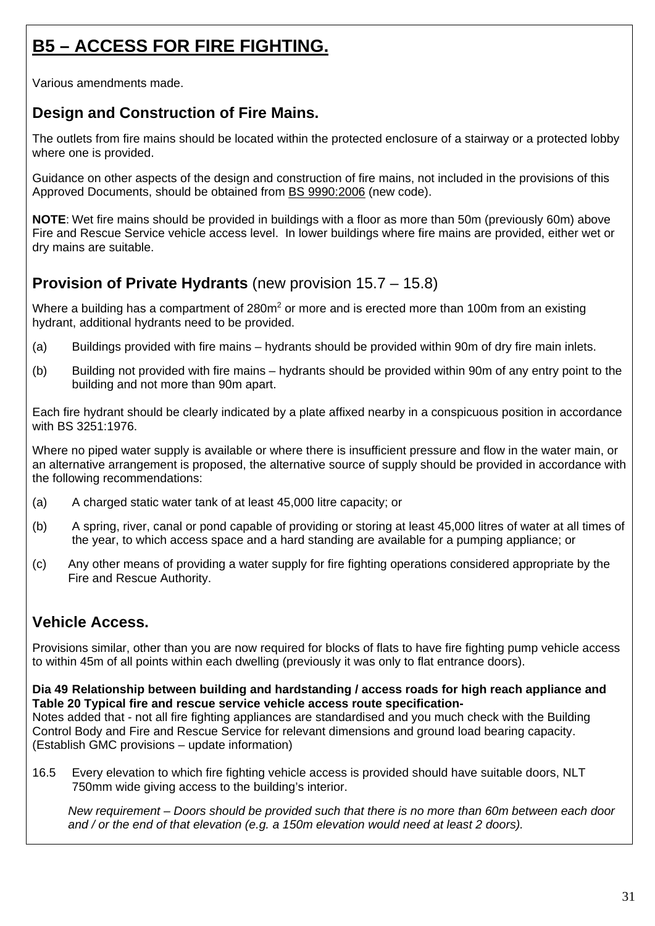# **B5 – ACCESS FOR FIRE FIGHTING.**

Various amendments made.

### **Design and Construction of Fire Mains.**

The outlets from fire mains should be located within the protected enclosure of a stairway or a protected lobby where one is provided.

Guidance on other aspects of the design and construction of fire mains, not included in the provisions of this Approved Documents, should be obtained from BS 9990:2006 (new code).

**NOTE**: Wet fire mains should be provided in buildings with a floor as more than 50m (previously 60m) above Fire and Rescue Service vehicle access level. In lower buildings where fire mains are provided, either wet or dry mains are suitable.

### **Provision of Private Hydrants** (new provision 15.7 – 15.8)

Where a building has a compartment of 280m<sup>2</sup> or more and is erected more than 100m from an existing hydrant, additional hydrants need to be provided.

- (a) Buildings provided with fire mains hydrants should be provided within 90m of dry fire main inlets.
- (b) Building not provided with fire mains hydrants should be provided within 90m of any entry point to the building and not more than 90m apart.

Each fire hydrant should be clearly indicated by a plate affixed nearby in a conspicuous position in accordance with BS 3251:1976.

Where no piped water supply is available or where there is insufficient pressure and flow in the water main, or an alternative arrangement is proposed, the alternative source of supply should be provided in accordance with the following recommendations:

- (a) A charged static water tank of at least 45,000 litre capacity; or
- (b) A spring, river, canal or pond capable of providing or storing at least 45,000 litres of water at all times of the year, to which access space and a hard standing are available for a pumping appliance; or
- (c) Any other means of providing a water supply for fire fighting operations considered appropriate by the Fire and Rescue Authority.

## **Vehicle Access.**

Provisions similar, other than you are now required for blocks of flats to have fire fighting pump vehicle access to within 45m of all points within each dwelling (previously it was only to flat entrance doors).

#### **Dia 49 Relationship between building and hardstanding / access roads for high reach appliance and Table 20 Typical fire and rescue service vehicle access route specification-**

Notes added that - not all fire fighting appliances are standardised and you much check with the Building Control Body and Fire and Rescue Service for relevant dimensions and ground load bearing capacity. (Establish GMC provisions – update information)

16.5 Every elevation to which fire fighting vehicle access is provided should have suitable doors, NLT 750mm wide giving access to the building's interior.

*New requirement – Doors should be provided such that there is no more than 60m between each door and / or the end of that elevation (e.g. a 150m elevation would need at least 2 doors).*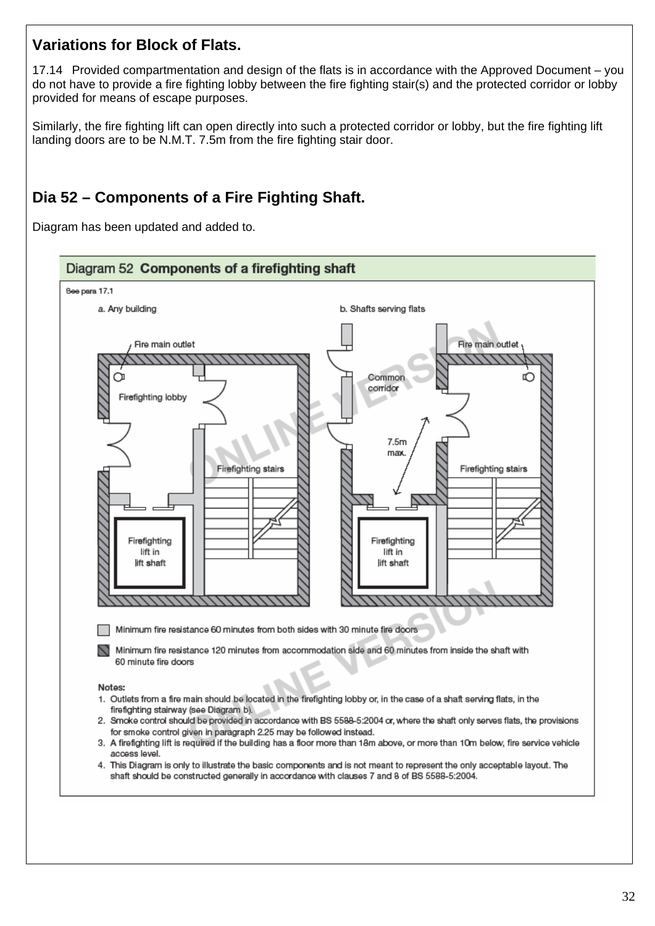### **Variations for Block of Flats.**

17.14 Provided compartmentation and design of the flats is in accordance with the Approved Document – you do not have to provide a fire fighting lobby between the fire fighting stair(s) and the protected corridor or lobby provided for means of escape purposes.

Similarly, the fire fighting lift can open directly into such a protected corridor or lobby, but the fire fighting lift landing doors are to be N.M.T. 7.5m from the fire fighting stair door.

# **Dia 52 – Components of a Fire Fighting Shaft.**

Diagram has been updated and added to.

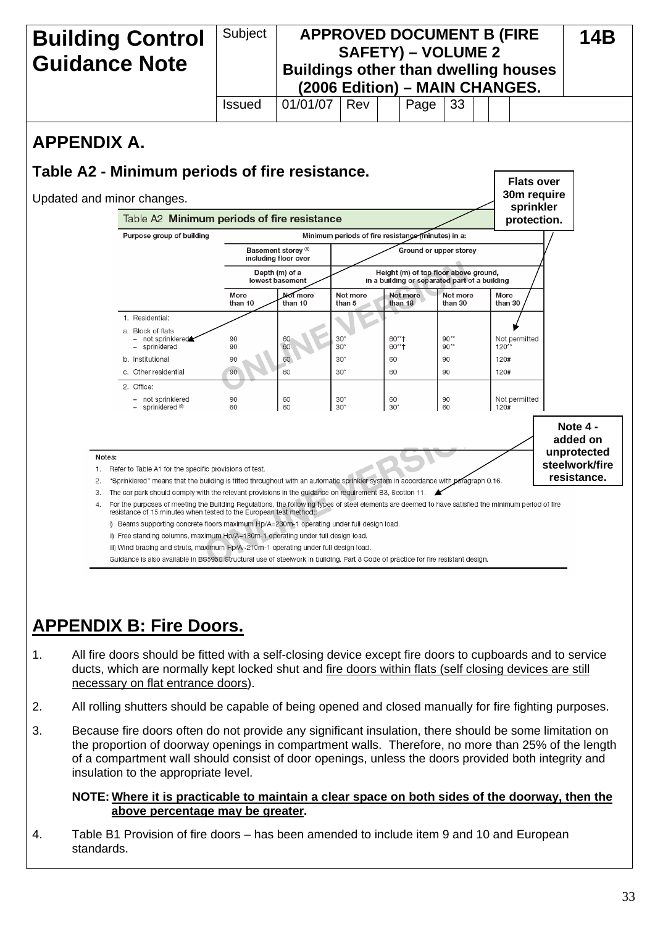

# **APPENDIX B: Fire Doors.**

- 1. All fire doors should be fitted with a self-closing device except fire doors to cupboards and to service ducts, which are normally kept locked shut and fire doors within flats (self closing devices are still necessary on flat entrance doors).
- 2. All rolling shutters should be capable of being opened and closed manually for fire fighting purposes.
- 3. Because fire doors often do not provide any significant insulation, there should be some limitation on the proportion of doorway openings in compartment walls. Therefore, no more than 25% of the length of a compartment wall should consist of door openings, unless the doors provided both integrity and insulation to the appropriate level.

#### **NOTE: Where it is practicable to maintain a clear space on both sides of the doorway, then the above percentage may be greater.**

4. Table B1 Provision of fire doors – has been amended to include item 9 and 10 and European standards.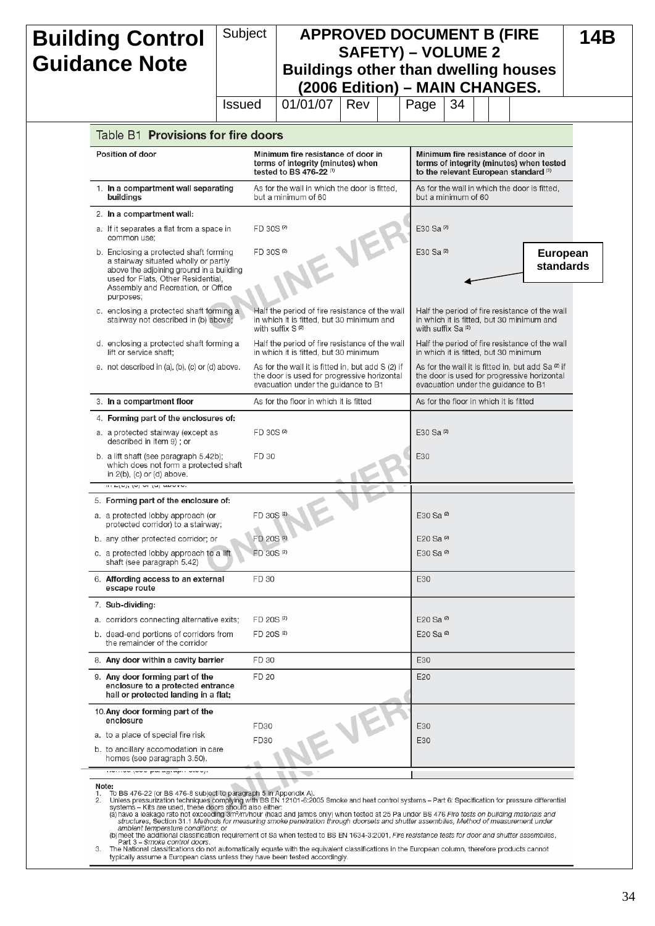| <b>Building Control</b><br><b>Guidance Note</b>                                                                                                                                                                     | Subject                              | <b>APPROVED DOCUMENT B (FIRE</b><br><b>Buildings other than dwelling houses</b>                                                         | <b>SAFETY) - VOLUME 2</b> |  |                                                                                                                         |                                        |  |                                                                                                                                        | 14B                   |
|---------------------------------------------------------------------------------------------------------------------------------------------------------------------------------------------------------------------|--------------------------------------|-----------------------------------------------------------------------------------------------------------------------------------------|---------------------------|--|-------------------------------------------------------------------------------------------------------------------------|----------------------------------------|--|----------------------------------------------------------------------------------------------------------------------------------------|-----------------------|
|                                                                                                                                                                                                                     | <b>Issued</b>                        | (2006 Edition) - MAIN CHANGES.<br>01/01/07                                                                                              | Rev                       |  | Page                                                                                                                    | 34                                     |  |                                                                                                                                        |                       |
|                                                                                                                                                                                                                     |                                      |                                                                                                                                         |                           |  |                                                                                                                         |                                        |  |                                                                                                                                        |                       |
| Table B1 Provisions for fire doors                                                                                                                                                                                  |                                      |                                                                                                                                         |                           |  |                                                                                                                         |                                        |  |                                                                                                                                        |                       |
| Position of door                                                                                                                                                                                                    |                                      | Minimum fire resistance of door in<br>terms of integrity (minutes) when<br>tested to BS 476-22 (1)                                      |                           |  | Minimum fire resistance of door in<br>terms of integrity (minutes) when tested<br>to the relevant European standard (3) |                                        |  |                                                                                                                                        |                       |
| 1. In a compartment wall separating<br>buildings                                                                                                                                                                    |                                      | As for the wall in which the door is fitted,<br>but a minimum of 60                                                                     |                           |  |                                                                                                                         | but a minimum of 60                    |  | As for the wall in which the door is fitted,                                                                                           |                       |
| 2. In a compartment wall:                                                                                                                                                                                           |                                      |                                                                                                                                         |                           |  |                                                                                                                         |                                        |  |                                                                                                                                        |                       |
| a. If it separates a flat from a space in<br>common use;                                                                                                                                                            | FD 30S <sup>(2)</sup>                |                                                                                                                                         |                           |  | E30 Sa <sup>(2)</sup>                                                                                                   |                                        |  |                                                                                                                                        |                       |
| b. Enclosing a protected shaft forming<br>a stairway situated wholly or partly<br>above the adjoining ground in a building<br>used for Flats, Other Residential,<br>Assembly and Recreation, or Office<br>purposes; | FD 30S (2)                           | JE VI                                                                                                                                   |                           |  | E30 Sa <sup>(2)</sup>                                                                                                   |                                        |  |                                                                                                                                        | European<br>standards |
| c. enclosing a protected shaft forming a<br>stairway not described in (b) above;                                                                                                                                    |                                      | Half the period of fire resistance of the wall<br>in which it is fitted, but 30 minimum and<br>with suffix S <sup>(2)</sup>             |                           |  |                                                                                                                         | with suffix Sa <sup>(2)</sup>          |  | Half the period of fire resistance of the wall<br>in which it is fitted, but 30 minimum and                                            |                       |
| d. enclosing a protected shaft forming a<br>lift or service shaft;                                                                                                                                                  |                                      | Half the period of fire resistance of the wall<br>in which it is fitted, but 30 minimum                                                 |                           |  |                                                                                                                         |                                        |  | Half the period of fire resistance of the wall<br>in which it is fitted, but 30 minimum                                                |                       |
| e. not described in (a), (b), (c) or (d) above.                                                                                                                                                                     |                                      | As for the wall it is fitted in, but add S (2) if<br>the door is used for progressive horizontal<br>evacuation under the guidance to B1 |                           |  |                                                                                                                         |                                        |  | As for the wall it is fitted in, but add Sa @ if<br>the door is used for progressive horizontal<br>evacuation under the guidance to B1 |                       |
| 3. In a compartment floor                                                                                                                                                                                           |                                      | As for the floor in which it is fitted                                                                                                  |                           |  |                                                                                                                         | As for the floor in which it is fitted |  |                                                                                                                                        |                       |
| 4. Forming part of the enclosures of:                                                                                                                                                                               |                                      |                                                                                                                                         |                           |  |                                                                                                                         |                                        |  |                                                                                                                                        |                       |
| a. a protected stairway (except as<br>described in item 9); or                                                                                                                                                      | FD 30S (2)                           |                                                                                                                                         |                           |  | E30 Sa <sup>(2)</sup>                                                                                                   |                                        |  |                                                                                                                                        |                       |
| b. a lift shaft (see paragraph 5.42b);<br>which does not form a protected shaft<br>in $2(b)$ , $(c)$ or $(d)$ above.                                                                                                | FD 30                                |                                                                                                                                         |                           |  | E30                                                                                                                     |                                        |  |                                                                                                                                        |                       |
| $\cdots \leftarrow (\omega_J, \; (\omega_J \; \omega_J \; \omega_W \omega_V \omega_V)$                                                                                                                              |                                      |                                                                                                                                         |                           |  |                                                                                                                         |                                        |  |                                                                                                                                        |                       |
| 5. Forming part of the enclosure of:<br>a. a protected lobby approach (or                                                                                                                                           | FD 30S (2)                           |                                                                                                                                         |                           |  | E30 Sa <sup>(2)</sup>                                                                                                   |                                        |  |                                                                                                                                        |                       |
| protected corridor) to a stairway;<br>b. any other protected corridor; or                                                                                                                                           | FD 20S (2)                           |                                                                                                                                         |                           |  | E20 Sa <sup>(2)</sup>                                                                                                   |                                        |  |                                                                                                                                        |                       |
| c. a protected lobby approach to a lift<br>shaft (see paragraph 5.42)                                                                                                                                               | FD 30S (2)                           |                                                                                                                                         |                           |  | E30 Sa <sup>(2)</sup>                                                                                                   |                                        |  |                                                                                                                                        |                       |
| 6. Affording access to an external<br>escape route                                                                                                                                                                  | FD 30                                |                                                                                                                                         |                           |  | E30                                                                                                                     |                                        |  |                                                                                                                                        |                       |
| 7. Sub-dividing:                                                                                                                                                                                                    |                                      |                                                                                                                                         |                           |  |                                                                                                                         |                                        |  |                                                                                                                                        |                       |
| a. corridors connecting alternative exits;                                                                                                                                                                          | FD 20S <sup>(2)</sup>                |                                                                                                                                         |                           |  | E20 Sa <sup>(2)</sup>                                                                                                   |                                        |  |                                                                                                                                        |                       |
| b. dead-end portions of corridors from<br>the remainder of the corridor                                                                                                                                             | FD 20S (2)                           |                                                                                                                                         |                           |  | E20 Sa <sup>(2)</sup>                                                                                                   |                                        |  |                                                                                                                                        |                       |
| 8. Any door within a cavity barrier                                                                                                                                                                                 | FD 30                                |                                                                                                                                         |                           |  | E30                                                                                                                     |                                        |  |                                                                                                                                        |                       |
| 9. Any door forming part of the<br>enclosure to a protected entrance<br>hall or protected landing in a flat;                                                                                                        | FD 20                                |                                                                                                                                         |                           |  | E20                                                                                                                     |                                        |  |                                                                                                                                        |                       |
| 10. Any door forming part of the<br>enclosure<br>a. to a place of special fire risk<br>b. to ancillary accomodation in care                                                                                         | FD <sub>30</sub><br>FD <sub>30</sub> |                                                                                                                                         |                           |  | E30<br>E30                                                                                                              |                                        |  |                                                                                                                                        |                       |
| homes (see paragraph 3.50).<br>Note:<br>1. To BS 476-22 (or BS 476-8 subject to paragraph 5 in Appendix A).                                                                                                         |                                      |                                                                                                                                         |                           |  |                                                                                                                         |                                        |  |                                                                                                                                        |                       |

2.

To BS 476-22 (or BS 476-8 subject to paragraph 5 in Appendix A).<br>Unless pressuratation techniques complying with BS EN 12101-6:2005 Smoke and heat control systems – Part 6: Specification for pressure differential<br>systems –

3. typically assume a European class unless they have been tested accordingly.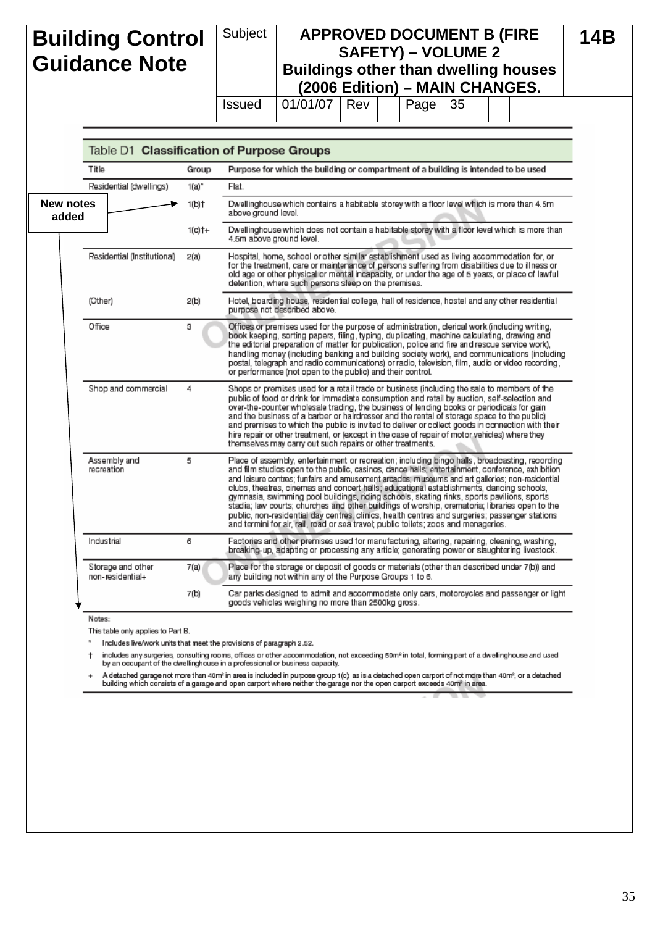#### Subject **APPROVED DOCUMENT B (FIRE SAFETY) – VOLUME 2 Buildings other than dwelling houses (2006 Edition) – MAIN CHANGES.**<br>/01/07 | Rev | | Page | 35 | | | **Building Control**  $\left|\right.^{Subject}\right|$  **APPROVED DOCUMENT B (FIRE** | 14B **Guidance Note**

 $Issued$  01/01/07 Rev

| Title                     |                                       | Group     | Purpose for which the building or compartment of a building is intended to be used                                                                                                                                                                                                                                                                                                                                                                                                                                                                                                                                                                                                                                                                                                         |
|---------------------------|---------------------------------------|-----------|--------------------------------------------------------------------------------------------------------------------------------------------------------------------------------------------------------------------------------------------------------------------------------------------------------------------------------------------------------------------------------------------------------------------------------------------------------------------------------------------------------------------------------------------------------------------------------------------------------------------------------------------------------------------------------------------------------------------------------------------------------------------------------------------|
|                           | Residential (dwellings)               | $1(a)^n$  | Flat.                                                                                                                                                                                                                                                                                                                                                                                                                                                                                                                                                                                                                                                                                                                                                                                      |
| <b>New notes</b><br>added |                                       | $1(b)$ †  | Dwellinghouse which contains a habitable storey with a floor level which is more than 4.5m<br>above ground level.                                                                                                                                                                                                                                                                                                                                                                                                                                                                                                                                                                                                                                                                          |
|                           |                                       | $1(c)$ †+ | Dwellinghouse which does not contain a habitable storey with a floor level which is more than<br>4.5m above ground level.                                                                                                                                                                                                                                                                                                                                                                                                                                                                                                                                                                                                                                                                  |
|                           | Residential (Institutional)           | 2(a)      | Hospital, home, school or other similar establishment used as living accommodation for, or<br>for the treatment, care or maintenance of persons suffering from disabilities due to illness or<br>old age or other physical or mental incapacity, or under the age of 5 years, or place of lawful<br>detention, where such persons sleep on the premises.                                                                                                                                                                                                                                                                                                                                                                                                                                   |
| (Other)                   |                                       | 2(b)      | Hotel, boarding house, residential college, hall of residence, hostel and any other residential<br>purpose not described above.                                                                                                                                                                                                                                                                                                                                                                                                                                                                                                                                                                                                                                                            |
| Office                    |                                       | з         | Offices or premises used for the purpose of administration, clerical work (including writing,<br>book keeping, sorting papers, filing, typing, duplicating, machine calculating, drawing and<br>the editorial preparation of matter for publication, police and fire and rescue service work),<br>handling money (including banking and building society work), and communications (including<br>postal, telegraph and radio communications) or radio, television, film, audio or video recording.<br>or performance (not open to the public) and their control.                                                                                                                                                                                                                           |
|                           | Shop and commercial                   | 4         | Shops or premises used for a retail trade or business (including the sale to members of the<br>public of food or drink for immediate consumption and retail by auction, self-selection and<br>over-the-counter wholesale trading, the business of lending books or periodicals for gain<br>and the business of a barber or hairdresser and the rental of storage space to the public)<br>and premises to which the public is invited to deliver or collect goods in connection with their<br>hire repair or other treatment, or (except in the case of repair of motor vehicles) where they<br>themselves may carry out such repairs or other treatments.                                                                                                                                  |
|                           | Assembly and<br>recreation            | 5         | Place of assembly, entertainment or recreation; including bingo halls, broadcasting, recording<br>and film studios open to the public, casinos, dance halls; entertainment, conference, exhibition<br>and leisure centres; funfairs and amusement arcades; museums and art galleries; non-residential<br>clubs, theatres, cinemas and concert halls; educational establishments, dancing schools,<br>gymnasia, swimming pool buildings, riding schools, skating rinks, sports pavilions, sports<br>stadia; law courts; churches and other buildings of worship, crematoria; libraries open to the<br>public, non-residential day centres, clinics, health centres and surgeries; passenger stations<br>and termini for air, rail, road or sea travel; public toilets; zoos and menageries. |
|                           | Industrial                            | 6         | Factories and other premises used for manufacturing, altering, repairing, cleaning, washing,<br>breaking up, adapting or processing any article; generating power or slaughtering livestock.                                                                                                                                                                                                                                                                                                                                                                                                                                                                                                                                                                                               |
|                           | Storage and other<br>non-residential+ | 7(a)      | Place for the storage or deposit of goods or materials (other than described under 7(b)) and<br>any building not within any of the Purpose Groups 1 to 6.                                                                                                                                                                                                                                                                                                                                                                                                                                                                                                                                                                                                                                  |
|                           |                                       | 7(b)      | Car parks designed to admit and accommodate only cars, motorcycles and passenger or light<br>goods vehicles weighing no more than 2500kg gross.                                                                                                                                                                                                                                                                                                                                                                                                                                                                                                                                                                                                                                            |

This table only applies to Part B.

Includes live/work units that meet the provisions of paragraph 2.52.

includes any surgeries, consulting rooms, offices or other accommodation, not exceeding 50m<sup>e</sup> in total, forming part of a dwelinghouse and used  $\ddagger$ by an occupant of the dwellinghouse in a professional or business capacity.

A detached garage not more than 40m<sup>e</sup> in area is included in purpose group 1(c); as is a detached open carport of not more than 40m<sup>e</sup>, or a detached<br>building which consists of a garage and open carport where neither the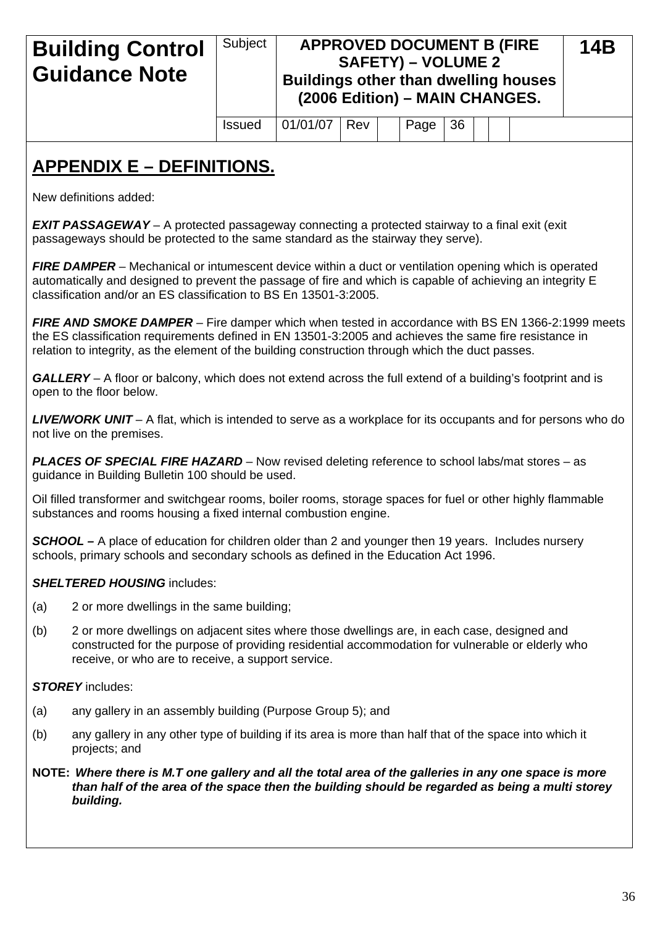| <b>Building Control</b><br><b>Guidance Note</b> | Subject       | <b>APPROVED DOCUMENT B (FIRE</b><br><b>SAFETY) – VOLUME 2</b><br><b>Buildings other than dwelling houses</b><br>(2006 Edition) - MAIN CHANGES. |     |  |      |    |  |  | <b>14B</b> |
|-------------------------------------------------|---------------|------------------------------------------------------------------------------------------------------------------------------------------------|-----|--|------|----|--|--|------------|
|                                                 | <b>Issued</b> | 01/01/07                                                                                                                                       | Rev |  | Page | 36 |  |  |            |

# **APPENDIX E – DEFINITIONS.**

New definitions added:

*EXIT PASSAGEWAY* – A protected passageway connecting a protected stairway to a final exit (exit passageways should be protected to the same standard as the stairway they serve).

**FIRE DAMPER** – Mechanical or intumescent device within a duct or ventilation opening which is operated automatically and designed to prevent the passage of fire and which is capable of achieving an integrity E classification and/or an ES classification to BS En 13501-3:2005.

*FIRE AND SMOKE DAMPER* – Fire damper which when tested in accordance with BS EN 1366-2:1999 meets the ES classification requirements defined in EN 13501-3:2005 and achieves the same fire resistance in relation to integrity, as the element of the building construction through which the duct passes.

*GALLERY* – A floor or balcony, which does not extend across the full extend of a building's footprint and is open to the floor below.

*LIVE/WORK UNIT* – A flat, which is intended to serve as a workplace for its occupants and for persons who do not live on the premises.

**PLACES OF SPECIAL FIRE HAZARD** – Now revised deleting reference to school labs/mat stores – as guidance in Building Bulletin 100 should be used.

Oil filled transformer and switchgear rooms, boiler rooms, storage spaces for fuel or other highly flammable substances and rooms housing a fixed internal combustion engine.

*SCHOOL –* A place of education for children older than 2 and younger then 19 years. Includes nursery schools, primary schools and secondary schools as defined in the Education Act 1996.

#### *SHELTERED HOUSING* includes:

- (a) 2 or more dwellings in the same building;
- (b) 2 or more dwellings on adjacent sites where those dwellings are, in each case, designed and constructed for the purpose of providing residential accommodation for vulnerable or elderly who receive, or who are to receive, a support service.

#### *STOREY* includes:

- (a) any gallery in an assembly building (Purpose Group 5); and
- (b) any gallery in any other type of building if its area is more than half that of the space into which it projects; and

#### **NOTE:** *Where there is M.T one gallery and all the total area of the galleries in any one space is more than half of the area of the space then the building should be regarded as being a multi storey building.*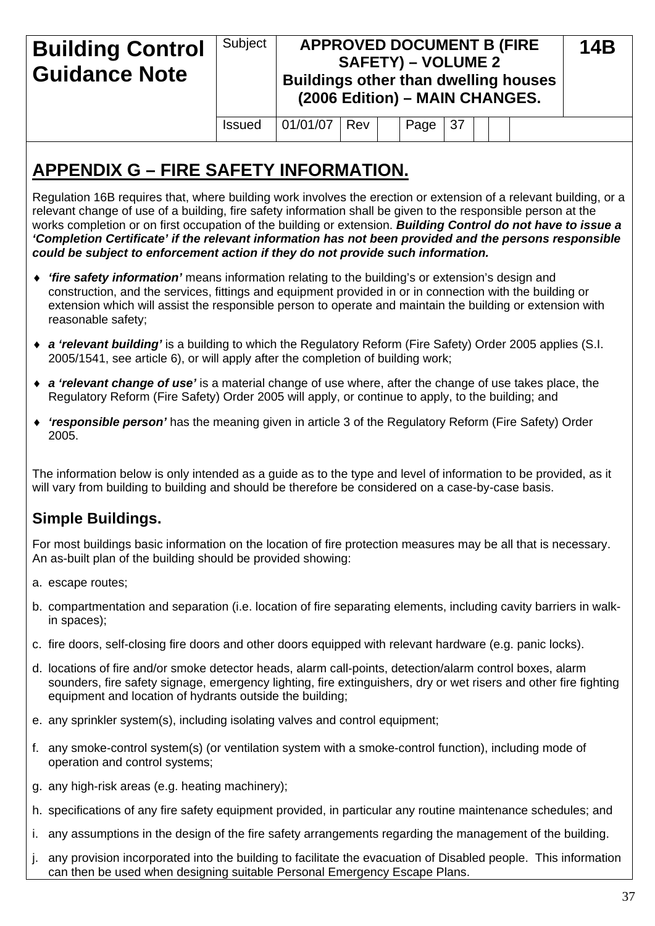| <b>Building Control</b><br><b>Guidance Note</b> | Subject       | <b>Buildings other than dwelling houses</b> |     | <b>APPROVED DOCUMENT B (FIRE)</b><br><b>SAFETY) – VOLUME 2</b><br>(2006 Edition) - MAIN CHANGES. |    |  | <b>14B</b> |  |
|-------------------------------------------------|---------------|---------------------------------------------|-----|--------------------------------------------------------------------------------------------------|----|--|------------|--|
|                                                 | <b>Issued</b> | 01/01/07                                    | Rev | Page                                                                                             | 37 |  |            |  |

# **APPENDIX G – FIRE SAFETY INFORMATION.**

Regulation 16B requires that, where building work involves the erection or extension of a relevant building, or a relevant change of use of a building, fire safety information shall be given to the responsible person at the works completion or on first occupation of the building or extension. *Building Control do not have to issue a 'Completion Certificate' if the relevant information has not been provided and the persons responsible could be subject to enforcement action if they do not provide such information.* 

- *'fire safety information'* means information relating to the building's or extension's design and construction, and the services, fittings and equipment provided in or in connection with the building or extension which will assist the responsible person to operate and maintain the building or extension with reasonable safety;
- *a 'relevant building'* is a building to which the Regulatory Reform (Fire Safety) Order 2005 applies (S.I. 2005/1541, see article 6), or will apply after the completion of building work;
- *a 'relevant change of use'* is a material change of use where, after the change of use takes place, the Regulatory Reform (Fire Safety) Order 2005 will apply, or continue to apply, to the building; and
- *'responsible person'* has the meaning given in article 3 of the Regulatory Reform (Fire Safety) Order 2005.

The information below is only intended as a guide as to the type and level of information to be provided, as it will vary from building to building and should be therefore be considered on a case-by-case basis.

### **Simple Buildings.**

For most buildings basic information on the location of fire protection measures may be all that is necessary. An as-built plan of the building should be provided showing:

- a. escape routes;
- b. compartmentation and separation (i.e. location of fire separating elements, including cavity barriers in walkin spaces);
- c. fire doors, self-closing fire doors and other doors equipped with relevant hardware (e.g. panic locks).
- d. locations of fire and/or smoke detector heads, alarm call-points, detection/alarm control boxes, alarm sounders, fire safety signage, emergency lighting, fire extinguishers, dry or wet risers and other fire fighting equipment and location of hydrants outside the building;
- e. any sprinkler system(s), including isolating valves and control equipment;
- f. any smoke-control system(s) (or ventilation system with a smoke-control function), including mode of operation and control systems;
- g. any high-risk areas (e.g. heating machinery);
- h. specifications of any fire safety equipment provided, in particular any routine maintenance schedules; and
- i. any assumptions in the design of the fire safety arrangements regarding the management of the building.
- j. any provision incorporated into the building to facilitate the evacuation of Disabled people. This information can then be used when designing suitable Personal Emergency Escape Plans.